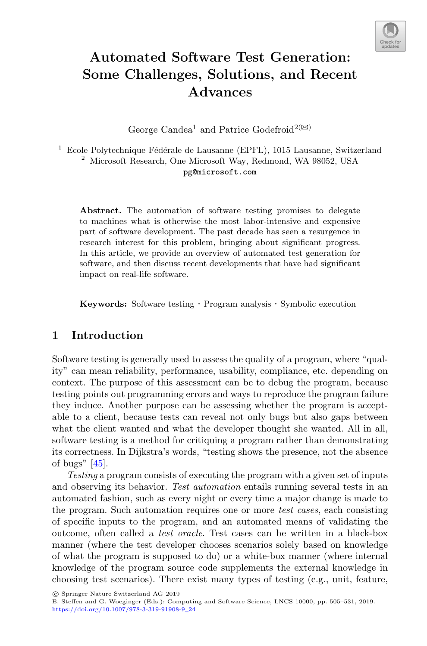

# **Automated Software Test Generation: Some Challenges, Solutions, and Recent Advances**

George Candea<sup>1</sup> and Patrice Godefroid<sup>2( $\boxtimes$ )</sup>

 $1$  Ecole Polytechnique Fédérale de Lausanne (EPFL), 1015 Lausanne, Switzerland <sup>2</sup> Microsoft Research, One Microsoft Way, Redmond, WA 98052, USA pg@microsoft.com

Abstract. The automation of software testing promises to delegate to machines what is otherwise the most labor-intensive and expensive part of software development. The past decade has seen a resurgence in research interest for this problem, bringing about significant progress. In this article, we provide an overview of automated test generation for software, and then discuss recent developments that have had significant impact on real-life software.

**Keywords:** Software testing · Program analysis · Symbolic execution

# **1 Introduction**

Software testing is generally used to assess the quality of a program, where "quality" can mean reliability, performance, usability, compliance, etc. depending on context. The purpose of this assessment can be to debug the program, because testing points out programming errors and ways to reproduce the program failure they induce. Another purpose can be assessing whether the program is acceptable to a client, because tests can reveal not only bugs but also gaps between what the client wanted and what the developer thought she wanted. All in all, software testing is a method for critiquing a program rather than demonstrating its correctness. In Dijkstra's words, "testing shows the presence, not the absence of bugs"  $[45]$ .

*Testing* a program consists of executing the program with a given set of inputs and observing its behavior. *Test automation* entails running several tests in an automated fashion, such as every night or every time a major change is made to the program. Such automation requires one or more *test cases*, each consisting of specific inputs to the program, and an automated means of validating the outcome, often called a *test oracle*. Test cases can be written in a black-box manner (where the test developer chooses scenarios solely based on knowledge of what the program is supposed to do) or a white-box manner (where internal knowledge of the program source code supplements the external knowledge in choosing test scenarios). There exist many types of testing (e.g., unit, feature,

-c Springer Nature Switzerland AG 2019

B. Steffen and G. Woeginger (Eds.): Computing and Software Science, LNCS 10000, pp. 505–531, 2019. [https://doi.org/10.1007/978-3-319-91908-9](https://doi.org/10.1007/978-3-319-91908-9_24)\_24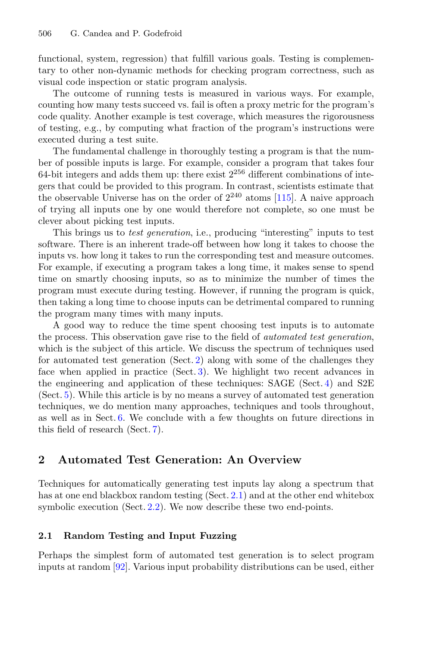functional, system, regression) that fulfill various goals. Testing is complementary to other non-dynamic methods for checking program correctness, such as visual code inspection or static program analysis.

The outcome of running tests is measured in various ways. For example, counting how many tests succeed vs. fail is often a proxy metric for the program's code quality. Another example is test coverage, which measures the rigorousness of testing, e.g., by computing what fraction of the program's instructions were executed during a test suite.

The fundamental challenge in thoroughly testing a program is that the number of possible inputs is large. For example, consider a program that takes four 64-bit integers and adds them up: there exist  $2^{256}$  different combinations of integers that could be provided to this program. In contrast, scientists estimate that the observable Universe has on the order of  $2^{240}$  atoms [\[115\]](#page-25-0). A naive approach of trying all inputs one by one would therefore not complete, so one must be clever about picking test inputs.

This brings us to *test generation*, i.e., producing "interesting" inputs to test software. There is an inherent trade-off between how long it takes to choose the inputs vs. how long it takes to run the corresponding test and measure outcomes. For example, if executing a program takes a long time, it makes sense to spend time on smartly choosing inputs, so as to minimize the number of times the program must execute during testing. However, if running the program is quick, then taking a long time to choose inputs can be detrimental compared to running the program many times with many inputs.

A good way to reduce the time spent choosing test inputs is to automate the process. This observation gave rise to the field of *automated test generation*, which is the subject of this article. We discuss the spectrum of techniques used for automated test generation (Sect. [2\)](#page-1-0) along with some of the challenges they face when applied in practice (Sect. [3\)](#page-5-0). We highlight two recent advances in the engineering and application of these techniques: SAGE (Sect. [4\)](#page-13-0) and S2E (Sect. [5\)](#page-15-0). While this article is by no means a survey of automated test generation techniques, we do mention many approaches, techniques and tools throughout, as well as in Sect. [6.](#page-17-0) We conclude with a few thoughts on future directions in this field of research (Sect. [7\)](#page-19-0).

### <span id="page-1-0"></span>**2 Automated Test Generation: An Overview**

Techniques for automatically generating test inputs lay along a spectrum that has at one end blackbox random testing (Sect. [2.1\)](#page-1-1) and at the other end whitebox symbolic execution (Sect. [2.2\)](#page-3-0). We now describe these two end-points.

#### <span id="page-1-1"></span>**2.1 Random Testing and Input Fuzzing**

Perhaps the simplest form of automated test generation is to select program inputs at random [\[92\]](#page-24-0). Various input probability distributions can be used, either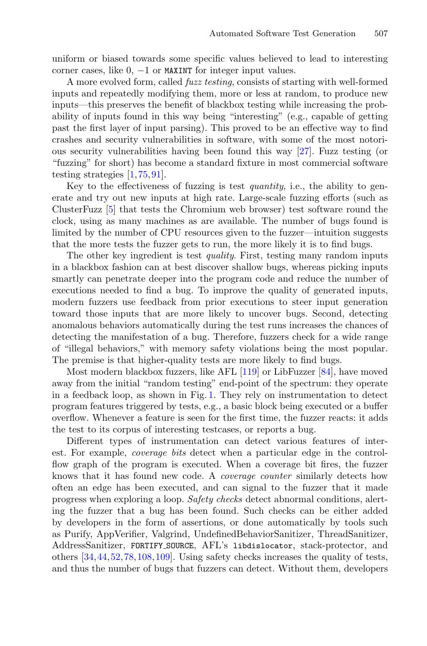uniform or biased towards some specific values believed to lead to interesting corner cases, like  $0, -1$  or MAXINT for integer input values.

A more evolved form, called *fuzz testing*, consists of starting with well-formed inputs and repeatedly modifying them, more or less at random, to produce new inputs—this preserves the benefit of blackbox testing while increasing the probability of inputs found in this way being "interesting" (e.g., capable of getting past the first layer of input parsing). This proved to be an effective way to find crashes and security vulnerabilities in software, with some of the most notorious security vulnerabilities having been found this way [\[27](#page-21-0)]. Fuzz testing (or "fuzzing" for short) has become a standard fixture in most commercial software testing strategies [\[1](#page-20-0)[,75](#page-23-0),[91\]](#page-24-1).

Key to the effectiveness of fuzzing is test *quantity*, i.e., the ability to generate and try out new inputs at high rate. Large-scale fuzzing efforts (such as ClusterFuzz [\[5\]](#page-20-1) that tests the Chromium web browser) test software round the clock, using as many machines as are available. The number of bugs found is limited by the number of CPU resources given to the fuzzer—intuition suggests that the more tests the fuzzer gets to run, the more likely it is to find bugs.

The other key ingredient is test *quality*. First, testing many random inputs in a blackbox fashion can at best discover shallow bugs, whereas picking inputs smartly can penetrate deeper into the program code and reduce the number of executions needed to find a bug. To improve the quality of generated inputs, modern fuzzers use feedback from prior executions to steer input generation toward those inputs that are more likely to uncover bugs. Second, detecting anomalous behaviors automatically during the test runs increases the chances of detecting the manifestation of a bug. Therefore, fuzzers check for a wide range of "illegal behaviors," with memory safety violations being the most popular. The premise is that higher-quality tests are more likely to find bugs.

Most modern blackbox fuzzers, like AFL [\[119\]](#page-26-0) or LibFuzzer [\[84](#page-24-2)], have moved away from the initial "random testing" end-point of the spectrum: they operate in a feedback loop, as shown in Fig. [1.](#page-3-1) They rely on instrumentation to detect program features triggered by tests, e.g., a basic block being executed or a buffer overflow. Whenever a feature is seen for the first time, the fuzzer reacts: it adds the test to its corpus of interesting testcases, or reports a bug.

Different types of instrumentation can detect various features of interest. For example, *coverage bits* detect when a particular edge in the controlflow graph of the program is executed. When a coverage bit fires, the fuzzer knows that it has found new code. A *coverage counter* similarly detects how often an edge has been executed, and can signal to the fuzzer that it made progress when exploring a loop. *Safety checks* detect abnormal conditions, alerting the fuzzer that a bug has been found. Such checks can be either added by developers in the form of assertions, or done automatically by tools such as Purify, AppVerifier, Valgrind, UndefinedBehaviorSanitizer, ThreadSanitizer, AddressSanitizer, FORTIFY SOURCE, AFL's libdislocator, stack-protector, and others [\[34](#page-22-1)[,44](#page-22-2),[52,](#page-22-3)[78](#page-24-3)[,108](#page-25-1)[,109](#page-25-2)]. Using safety checks increases the quality of tests, and thus the number of bugs that fuzzers can detect. Without them, developers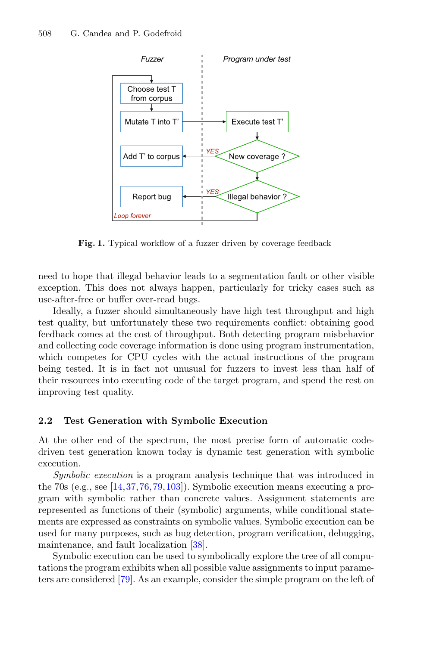

<span id="page-3-1"></span>**Fig. 1.** Typical workflow of a fuzzer driven by coverage feedback

need to hope that illegal behavior leads to a segmentation fault or other visible exception. This does not always happen, particularly for tricky cases such as use-after-free or buffer over-read bugs.

Ideally, a fuzzer should simultaneously have high test throughput and high test quality, but unfortunately these two requirements conflict: obtaining good feedback comes at the cost of throughput. Both detecting program misbehavior and collecting code coverage information is done using program instrumentation, which competes for CPU cycles with the actual instructions of the program being tested. It is in fact not unusual for fuzzers to invest less than half of their resources into executing code of the target program, and spend the rest on improving test quality.

### <span id="page-3-0"></span>**2.2 Test Generation with Symbolic Execution**

At the other end of the spectrum, the most precise form of automatic codedriven test generation known today is dynamic test generation with symbolic execution.

*Symbolic execution* is a program analysis technique that was introduced in the 70s (e.g., see [\[14](#page-21-1),[37,](#page-22-4)[76,](#page-24-4)[79](#page-24-5)[,103](#page-25-3)]). Symbolic execution means executing a program with symbolic rather than concrete values. Assignment statements are represented as functions of their (symbolic) arguments, while conditional statements are expressed as constraints on symbolic values. Symbolic execution can be used for many purposes, such as bug detection, program verification, debugging, maintenance, and fault localization [\[38](#page-22-5)].

Symbolic execution can be used to symbolically explore the tree of all computations the program exhibits when all possible value assignments to input parameters are considered [\[79\]](#page-24-5). As an example, consider the simple program on the left of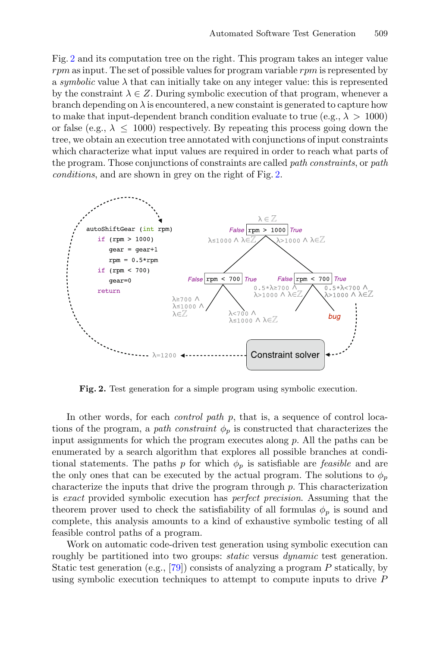Fig. [2](#page-4-0) and its computation tree on the right. This program takes an integer value  $rpm$  as input. The set of possible values for program variable  $rpm$  is represented by a *symbolic* value  $\lambda$  that can initially take on any integer value: this is represented by the constraint  $\lambda \in \mathbb{Z}$ . During symbolic execution of that program, whenever a branch depending on  $\lambda$  is encountered, a new constaint is generated to capture how to make that input-dependent branch condition evaluate to true (e.g.,  $\lambda > 1000$ ) or false (e.g.,  $\lambda$  < 1000) respectively. By repeating this process going down the tree, we obtain an execution tree annotated with conjunctions of input constraints which characterize what input values are required in order to reach what parts of the program. Those conjunctions of constraints are called *path constraints*, or *path conditions*, and are shown in grey on the right of Fig. [2.](#page-4-0)



<span id="page-4-0"></span>**Fig. 2.** Test generation for a simple program using symbolic execution.

In other words, for each *control path* p, that is, a sequence of control locations of the program, a *path constraint*  $\phi_p$  is constructed that characterizes the input assignments for which the program executes along  $p$ . All the paths can be enumerated by a search algorithm that explores all possible branches at conditional statements. The paths p for which  $\phi_p$  is satisfiable are *feasible* and are the only ones that can be executed by the actual program. The solutions to  $\phi_p$ characterize the inputs that drive the program through p. This characterization is *exact* provided symbolic execution has *perfect precision*. Assuming that the theorem prover used to check the satisfiability of all formulas  $\phi_p$  is sound and complete, this analysis amounts to a kind of exhaustive symbolic testing of all feasible control paths of a program.

Work on automatic code-driven test generation using symbolic execution can roughly be partitioned into two groups: *static* versus *dynamic* test generation. Static test generation (e.g.,  $[79]$  $[79]$ ) consists of analyzing a program P statically, by using symbolic execution techniques to attempt to compute inputs to drive P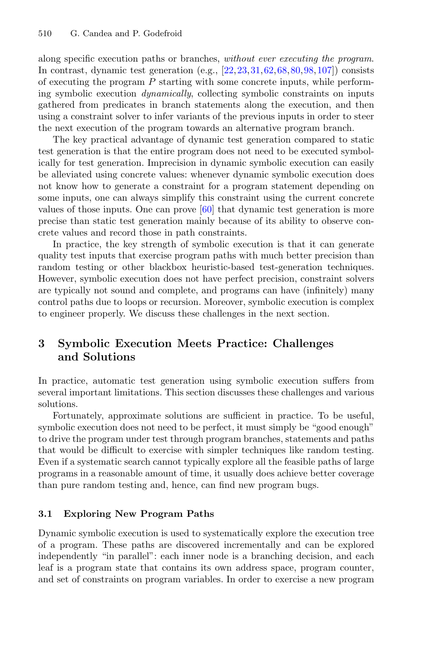along specific execution paths or branches, *without ever executing the program*. In contrast, dynamic test generation (e.g.,  $[22, 23, 31, 62, 68, 80, 98, 107]$  $[22, 23, 31, 62, 68, 80, 98, 107]$  $[22, 23, 31, 62, 68, 80, 98, 107]$  $[22, 23, 31, 62, 68, 80, 98, 107]$  $[22, 23, 31, 62, 68, 80, 98, 107]$  $[22, 23, 31, 62, 68, 80, 98, 107]$  $[22, 23, 31, 62, 68, 80, 98, 107]$  $[22, 23, 31, 62, 68, 80, 98, 107]$  $[22, 23, 31, 62, 68, 80, 98, 107]$  $[22, 23, 31, 62, 68, 80, 98, 107]$  $[22, 23, 31, 62, 68, 80, 98, 107]$ ) consists of executing the program  $P$  starting with some concrete inputs, while performing symbolic execution *dynamically*, collecting symbolic constraints on inputs gathered from predicates in branch statements along the execution, and then using a constraint solver to infer variants of the previous inputs in order to steer the next execution of the program towards an alternative program branch.

The key practical advantage of dynamic test generation compared to static test generation is that the entire program does not need to be executed symbolically for test generation. Imprecision in dynamic symbolic execution can easily be alleviated using concrete values: whenever dynamic symbolic execution does not know how to generate a constraint for a program statement depending on some inputs, one can always simplify this constraint using the current concrete values of those inputs. One can prove [\[60](#page-23-3)] that dynamic test generation is more precise than static test generation mainly because of its ability to observe concrete values and record those in path constraints.

In practice, the key strength of symbolic execution is that it can generate quality test inputs that exercise program paths with much better precision than random testing or other blackbox heuristic-based test-generation techniques. However, symbolic execution does not have perfect precision, constraint solvers are typically not sound and complete, and programs can have (infinitely) many control paths due to loops or recursion. Moreover, symbolic execution is complex to engineer properly. We discuss these challenges in the next section.

# <span id="page-5-0"></span>**3 Symbolic Execution Meets Practice: Challenges and Solutions**

In practice, automatic test generation using symbolic execution suffers from several important limitations. This section discusses these challenges and various solutions.

Fortunately, approximate solutions are sufficient in practice. To be useful, symbolic execution does not need to be perfect, it must simply be "good enough" to drive the program under test through program branches, statements and paths that would be difficult to exercise with simpler techniques like random testing. Even if a systematic search cannot typically explore all the feasible paths of large programs in a reasonable amount of time, it usually does achieve better coverage than pure random testing and, hence, can find new program bugs.

### **3.1 Exploring New Program Paths**

Dynamic symbolic execution is used to systematically explore the execution tree of a program. These paths are discovered incrementally and can be explored independently "in parallel": each inner node is a branching decision, and each leaf is a program state that contains its own address space, program counter, and set of constraints on program variables. In order to exercise a new program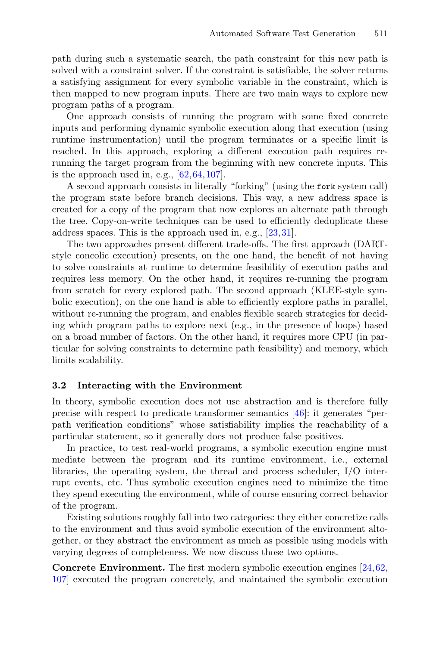path during such a systematic search, the path constraint for this new path is solved with a constraint solver. If the constraint is satisfiable, the solver returns a satisfying assignment for every symbolic variable in the constraint, which is then mapped to new program inputs. There are two main ways to explore new program paths of a program.

One approach consists of running the program with some fixed concrete inputs and performing dynamic symbolic execution along that execution (using runtime instrumentation) until the program terminates or a specific limit is reached. In this approach, exploring a different execution path requires rerunning the target program from the beginning with new concrete inputs. This is the approach used in, e.g.,  $[62, 64, 107]$  $[62, 64, 107]$  $[62, 64, 107]$  $[62, 64, 107]$ .

A second approach consists in literally "forking" (using the fork system call) the program state before branch decisions. This way, a new address space is created for a copy of the program that now explores an alternate path through the tree. Copy-on-write techniques can be used to efficiently deduplicate these address spaces. This is the approach used in, e.g., [\[23](#page-21-3),[31\]](#page-21-4).

The two approaches present different trade-offs. The first approach (DARTstyle concolic execution) presents, on the one hand, the benefit of not having to solve constraints at runtime to determine feasibility of execution paths and requires less memory. On the other hand, it requires re-running the program from scratch for every explored path. The second approach (KLEE-style symbolic execution), on the one hand is able to efficiently explore paths in parallel, without re-running the program, and enables flexible search strategies for deciding which program paths to explore next (e.g., in the presence of loops) based on a broad number of factors. On the other hand, it requires more CPU (in particular for solving constraints to determine path feasibility) and memory, which limits scalability.

#### <span id="page-6-0"></span>**3.2 Interacting with the Environment**

In theory, symbolic execution does not use abstraction and is therefore fully precise with respect to predicate transformer semantics [\[46](#page-22-6)]: it generates "perpath verification conditions" whose satisfiability implies the reachability of a particular statement, so it generally does not produce false positives.

In practice, to test real-world programs, a symbolic execution engine must mediate between the program and its runtime environment, i.e., external libraries, the operating system, the thread and process scheduler, I/O interrupt events, etc. Thus symbolic execution engines need to minimize the time they spend executing the environment, while of course ensuring correct behavior of the program.

Existing solutions roughly fall into two categories: they either concretize calls to the environment and thus avoid symbolic execution of the environment altogether, or they abstract the environment as much as possible using models with varying degrees of completeness. We now discuss those two options.

**Concrete Environment.** The first modern symbolic execution engines [\[24,](#page-21-5)[62,](#page-23-1) [107\]](#page-25-5) executed the program concretely, and maintained the symbolic execution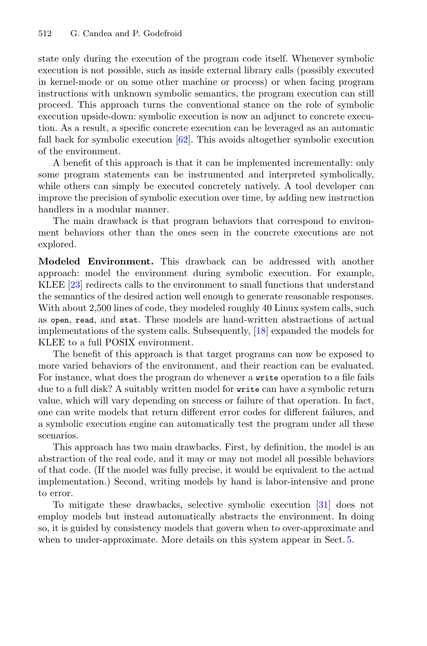state only during the execution of the program code itself. Whenever symbolic execution is not possible, such as inside external library calls (possibly executed in kernel-mode or on some other machine or process) or when facing program instructions with unknown symbolic semantics, the program execution can still proceed. This approach turns the conventional stance on the role of symbolic execution upside-down: symbolic execution is now an adjunct to concrete execution. As a result, a specific concrete execution can be leveraged as an automatic fall back for symbolic execution [\[62\]](#page-23-1). This avoids altogether symbolic execution of the environment.

A benefit of this approach is that it can be implemented incrementally: only some program statements can be instrumented and interpreted symbolically, while others can simply be executed concretely natively. A tool developer can improve the precision of symbolic execution over time, by adding new instruction handlers in a modular manner.

The main drawback is that program behaviors that correspond to environment behaviors other than the ones seen in the concrete executions are not explored.

**Modeled Environment.** This drawback can be addressed with another approach: model the environment during symbolic execution. For example, KLEE [\[23\]](#page-21-3) redirects calls to the environment to small functions that understand the semantics of the desired action well enough to generate reasonable responses. With about 2,500 lines of code, they modeled roughly 40 Linux system calls, such as open, read, and stat. These models are hand-written abstractions of actual implementations of the system calls. Subsequently, [\[18\]](#page-21-6) expanded the models for KLEE to a full POSIX environment.

The benefit of this approach is that target programs can now be exposed to more varied behaviors of the environment, and their reaction can be evaluated. For instance, what does the program do whenever a write operation to a file fails due to a full disk? A suitably written model for write can have a symbolic return value, which will vary depending on success or failure of that operation. In fact, one can write models that return different error codes for different failures, and a symbolic execution engine can automatically test the program under all these scenarios.

This approach has two main drawbacks. First, by definition, the model is an abstraction of the real code, and it may or may not model all possible behaviors of that code. (If the model was fully precise, it would be equivalent to the actual implementation.) Second, writing models by hand is labor-intensive and prone to error.

To mitigate these drawbacks, selective symbolic execution [\[31](#page-21-4)] does not employ models but instead automatically abstracts the environment. In doing so, it is guided by consistency models that govern when to over-approximate and when to under-approximate. More details on this system appear in Sect. [5.](#page-15-0)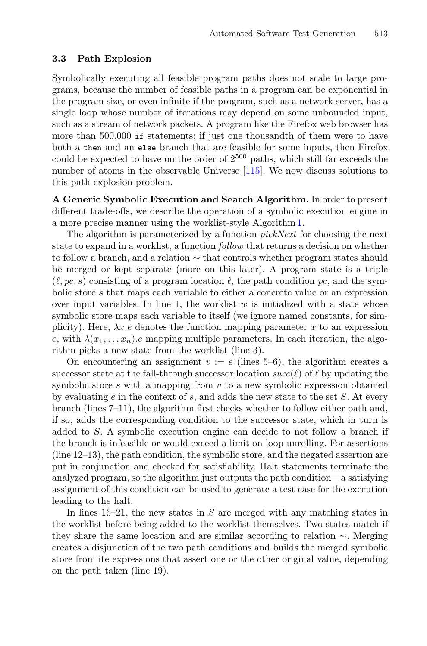#### **3.3 Path Explosion**

Symbolically executing all feasible program paths does not scale to large programs, because the number of feasible paths in a program can be exponential in the program size, or even infinite if the program, such as a network server, has a single loop whose number of iterations may depend on some unbounded input, such as a stream of network packets. A program like the Firefox web browser has more than 500,000 if statements; if just one thousandth of them were to have both a then and an else branch that are feasible for some inputs, then Firefox could be expected to have on the order of 2<sup>500</sup> paths, which still far exceeds the number of atoms in the observable Universe [\[115\]](#page-25-0). We now discuss solutions to this path explosion problem.

**A Generic Symbolic Execution and Search Algorithm.** In order to present different trade-offs, we describe the operation of a symbolic execution engine in a more precise manner using the worklist-style Algorithm [1.](#page-9-0)

The algorithm is parameterized by a function *pickNext* for choosing the next state to expand in a worklist, a function *follow* that returns a decision on whether to follow a branch, and a relation ∼ that controls whether program states should be merged or kept separate (more on this later). A program state is a triple  $(\ell, pc, s)$  consisting of a program location  $\ell$ , the path condition *pc*, and the symbolic store s that maps each variable to either a concrete value or an expression over input variables. In line 1, the worklist  $w$  is initialized with a state whose symbolic store maps each variable to itself (we ignore named constants, for simplicity). Here,  $\lambda x.e$  denotes the function mapping parameter x to an expression e, with  $\lambda(x_1,\ldots,x_n)$  emapping multiple parameters. In each iteration, the algorithm picks a new state from the worklist (line 3).

On encountering an assignment  $v := e$  (lines 5–6), the algorithm creates a successor state at the fall-through successor location  $succ(\ell)$  of  $\ell$  by updating the symbolic store s with a mapping from v to a new symbolic expression obtained by evaluating  $e$  in the context of s, and adds the new state to the set  $S$ . At every branch (lines 7–11), the algorithm first checks whether to follow either path and, if so, adds the corresponding condition to the successor state, which in turn is added to S. A symbolic execution engine can decide to not follow a branch if the branch is infeasible or would exceed a limit on loop unrolling. For assertions (line 12–13), the path condition, the symbolic store, and the negated assertion are put in conjunction and checked for satisfiability. Halt statements terminate the analyzed program, so the algorithm just outputs the path condition—a satisfying assignment of this condition can be used to generate a test case for the execution leading to the halt.

In lines 16–21, the new states in  $S$  are merged with any matching states in the worklist before being added to the worklist themselves. Two states match if they share the same location and are similar according to relation ∼. Merging creates a disjunction of the two path conditions and builds the merged symbolic store from ite expressions that assert one or the other original value, depending on the path taken (line 19).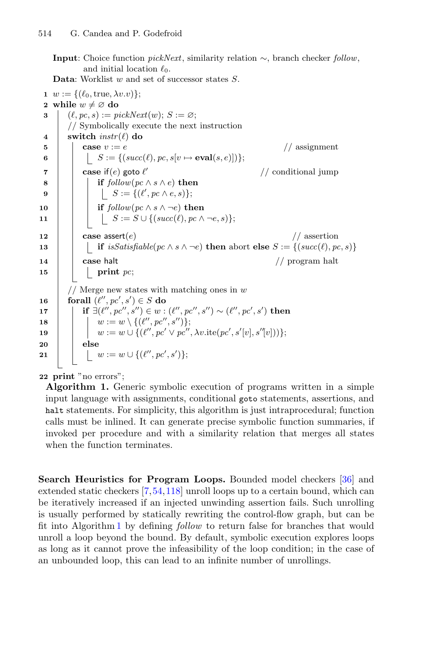**Input**: Choice function *pickNext*, similarity relation ∼, branch checker *follow*, and initial location  $\ell_0$ .

Data: Worklist w and set of successor states S.

**1**  $w := \{(\ell_0, \text{true}, \lambda v. v)\};$ **2** while  $w \neq \emptyset$  do<br> **3**  $\mid$   $(\ell, pc, s) := p_3$ **3**  $(\ell, pc, s) := pickNext(w); S := \varnothing;$ // Symbolically execute the next instruction  $4$  | switch  $\textit{instr}(\ell)$  do **5**  $\vert$  **case**  $v := e$  // assignment  $\begin{array}{ccc} \textbf{6} & || & || & \end{array} \begin{array}{ccc} \textbf{6} & S := \{ (succ(\ell), pc, s[v \mapsto \textbf{eval}(s, e)] ) \}; \end{array}$ **7 case** if (e) goto  $\ell'$ <br>**8 if** following // conditional jump **8 if**  $\text{follow}(pc \land s \land e)$  **then**<br>**9 i**  $S := \{(\ell', pc \land e, s)\}.$ **9**  $\Box$   $\Box$   $S := \{ (\ell', pc \wedge e, s) \};$ **10 if**  $\int$  **if**  $\int$  **if**  $S := S \cup \{ (succ(\ell) \mid mc(\ell) \leq m \} )$  $\begin{array}{ccc} \textbf{11} & | & | & | \ \end{array} \begin{array}{ccc} \end{array} \begin{array}{ccc} \end{array} \begin{array}{ccc} \end{array} \begin{array}{ccc} S := S \cup \{ (succ(\ell), pc \land \neg e, s) \}; \end{array}$ **12 case** assert(*e*) <br> **13 i i is** *satisfiable*(*pc* ∧ *s* ∧ ¬*e*) **then** abort **else**  $S := \{(succ(\ell), pc, s)\}$ 14 **case** halt // program halt // program halt **15 print** *pc*; // Merge new states with matching ones in  $w$  $\textbf{16} \quad | \quad \textbf{for all } (\ell'', pc', s') \in S \textbf{ do}$  $\textbf{17}$  **if**  $\exists (\ell'', pc'', s'') \in w : (\ell'', pc'', s'') \sim (\ell'', pc', s') \textbf{ then }$ **18**  $\vert \qquad \vert \qquad w := w \setminus \{(\ell'', pc'', s'')\};$  $\begin{array}{ll} \textbf{19} & | & | & w := w \cup \{(\ell'', pc' \vee pc'', \lambda v. \text{ite}(pc', s'[v], s''[v]))\}; \end{array}$ **20 else**  $\begin{array}{|c|c|c|}\hline \textbf{21} & & \quad w:=w\cup\{(\ell'', pc', s')\}; \ \hline \end{array}$ 

**22 print** "no errors";

<span id="page-9-0"></span>**Algorithm 1.** Generic symbolic execution of programs written in a simple input language with assignments, conditional goto statements, assertions, and halt statements. For simplicity, this algorithm is just intraprocedural; function calls must be inlined. It can generate precise symbolic function summaries, if invoked per procedure and with a similarity relation that merges all states when the function terminates.

**Search Heuristics for Program Loops.** Bounded model checkers [\[36](#page-22-7)] and extended static checkers [\[7](#page-20-2)[,54](#page-22-8),[118\]](#page-26-1) unroll loops up to a certain bound, which can be iteratively increased if an injected unwinding assertion fails. Such unrolling is usually performed by statically rewriting the control-flow graph, but can be fit into Algorithm [1](#page-9-0) by defining *follow* to return false for branches that would unroll a loop beyond the bound. By default, symbolic execution explores loops as long as it cannot prove the infeasibility of the loop condition; in the case of an unbounded loop, this can lead to an infinite number of unrollings.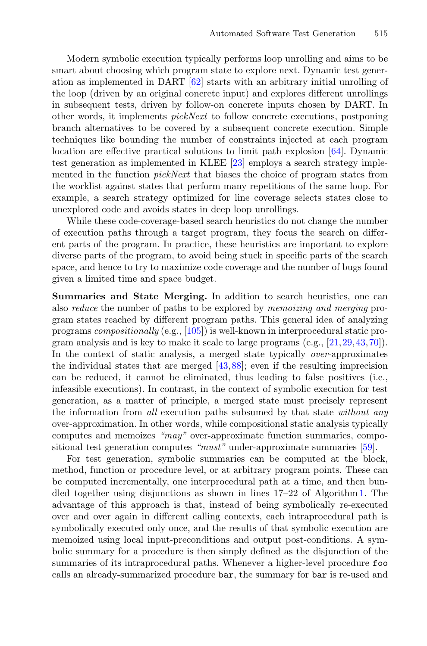Modern symbolic execution typically performs loop unrolling and aims to be smart about choosing which program state to explore next. Dynamic test generation as implemented in DART [\[62\]](#page-23-1) starts with an arbitrary initial unrolling of the loop (driven by an original concrete input) and explores different unrollings in subsequent tests, driven by follow-on concrete inputs chosen by DART. In other words, it implements *pickNext* to follow concrete executions, postponing branch alternatives to be covered by a subsequent concrete execution. Simple techniques like bounding the number of constraints injected at each program location are effective practical solutions to limit path explosion [\[64\]](#page-23-4). Dynamic test generation as implemented in KLEE [\[23\]](#page-21-3) employs a search strategy implemented in the function *pickNext* that biases the choice of program states from the worklist against states that perform many repetitions of the same loop. For example, a search strategy optimized for line coverage selects states close to unexplored code and avoids states in deep loop unrollings.

While these code-coverage-based search heuristics do not change the number of execution paths through a target program, they focus the search on different parts of the program. In practice, these heuristics are important to explore diverse parts of the program, to avoid being stuck in specific parts of the search space, and hence to try to maximize code coverage and the number of bugs found given a limited time and space budget.

**Summaries and State Merging.** In addition to search heuristics, one can also *reduce* the number of paths to be explored by *memoizing and merging* program states reached by different program paths. This general idea of analyzing programs *compositionally* (e.g., [\[105](#page-25-6)]) is well-known in interprocedural static program analysis and is key to make it scale to large programs (e.g., [\[21,](#page-21-7)[29,](#page-21-8)[43](#page-22-9)[,70\]](#page-23-5)). In the context of static analysis, a merged state typically *over*-approximates the individual states that are merged [\[43,](#page-22-9)[88\]](#page-24-7); even if the resulting imprecision can be reduced, it cannot be eliminated, thus leading to false positives (i.e., infeasible executions). In contrast, in the context of symbolic execution for test generation, as a matter of principle, a merged state must precisely represent the information from *all* execution paths subsumed by that state *without any* over-approximation. In other words, while compositional static analysis typically computes and memoizes *"may"* over-approximate function summaries, compositional test generation computes *"must"* under-approximate summaries [\[59](#page-23-6)].

For test generation, symbolic summaries can be computed at the block, method, function or procedure level, or at arbitrary program points. These can be computed incrementally, one interprocedural path at a time, and then bundled together using disjunctions as shown in lines  $17-22$  of Algorithm [1.](#page-9-0) The advantage of this approach is that, instead of being symbolically re-executed over and over again in different calling contexts, each intraprocedural path is symbolically executed only once, and the results of that symbolic execution are memoized using local input-preconditions and output post-conditions. A symbolic summary for a procedure is then simply defined as the disjunction of the summaries of its intraprocedural paths. Whenever a higher-level procedure foo calls an already-summarized procedure bar, the summary for bar is re-used and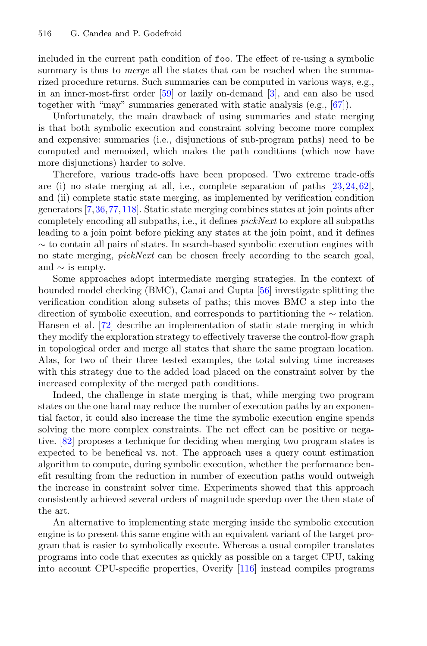included in the current path condition of foo. The effect of re-using a symbolic summary is thus to *merge* all the states that can be reached when the summarized procedure returns. Such summaries can be computed in various ways, e.g., in an inner-most-first order [\[59\]](#page-23-6) or lazily on-demand [\[3\]](#page-20-3), and can also be used together with "may" summaries generated with static analysis (e.g., [\[67\]](#page-23-7)).

Unfortunately, the main drawback of using summaries and state merging is that both symbolic execution and constraint solving become more complex and expensive: summaries (i.e., disjunctions of sub-program paths) need to be computed and memoized, which makes the path conditions (which now have more disjunctions) harder to solve.

Therefore, various trade-offs have been proposed. Two extreme trade-offs are (i) no state merging at all, i.e., complete separation of paths  $[23, 24, 62]$  $[23, 24, 62]$  $[23, 24, 62]$ , and (ii) complete static state merging, as implemented by verification condition generators [\[7](#page-20-2)[,36](#page-22-7),[77,](#page-24-8)[118\]](#page-26-1). Static state merging combines states at join points after completely encoding all subpaths, i.e., it defines *pickNext* to explore all subpaths leading to a join point before picking any states at the join point, and it defines  $\sim$  to contain all pairs of states. In search-based symbolic execution engines with no state merging, *pickNext* can be chosen freely according to the search goal, and  $\sim$  is empty.

Some approaches adopt intermediate merging strategies. In the context of bounded model checking (BMC), Ganai and Gupta [\[56](#page-23-8)] investigate splitting the verification condition along subsets of paths; this moves BMC a step into the direction of symbolic execution, and corresponds to partitioning the ∼ relation. Hansen et al. [\[72](#page-23-9)] describe an implementation of static state merging in which they modify the exploration strategy to effectively traverse the control-flow graph in topological order and merge all states that share the same program location. Alas, for two of their three tested examples, the total solving time increases with this strategy due to the added load placed on the constraint solver by the increased complexity of the merged path conditions.

Indeed, the challenge in state merging is that, while merging two program states on the one hand may reduce the number of execution paths by an exponential factor, it could also increase the time the symbolic execution engine spends solving the more complex constraints. The net effect can be positive or negative. [\[82](#page-24-9)] proposes a technique for deciding when merging two program states is expected to be benefical vs. not. The approach uses a query count estimation algorithm to compute, during symbolic execution, whether the performance benefit resulting from the reduction in number of execution paths would outweigh the increase in constraint solver time. Experiments showed that this approach consistently achieved several orders of magnitude speedup over the then state of the art.

An alternative to implementing state merging inside the symbolic execution engine is to present this same engine with an equivalent variant of the target program that is easier to symbolically execute. Whereas a usual compiler translates programs into code that executes as quickly as possible on a target CPU, taking into account CPU-specific properties, Overify [\[116\]](#page-25-7) instead compiles programs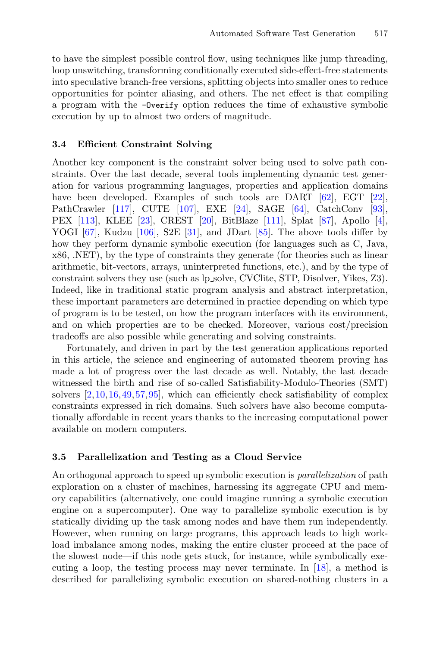to have the simplest possible control flow, using techniques like jump threading, loop unswitching, transforming conditionally executed side-effect-free statements into speculative branch-free versions, splitting objects into smaller ones to reduce opportunities for pointer aliasing, and others. The net effect is that compiling a program with the -Overify option reduces the time of exhaustive symbolic execution by up to almost two orders of magnitude.

#### **3.4 Efficient Constraint Solving**

Another key component is the constraint solver being used to solve path constraints. Over the last decade, several tools implementing dynamic test generation for various programming languages, properties and application domains have been developed. Examples of such tools are DART [\[62](#page-23-1)], EGT [\[22\]](#page-21-2), PathCrawler [\[117](#page-26-2)], CUTE [\[107\]](#page-25-5), EXE [\[24](#page-21-5)], SAGE [\[64\]](#page-23-4), CatchConv [\[93\]](#page-24-10), PEX [\[113\]](#page-25-8), KLEE [\[23](#page-21-3)], CREST [\[20\]](#page-21-9), BitBlaze [\[111](#page-25-9)], Splat [\[87\]](#page-24-11), Apollo [\[4\]](#page-20-4), YOGI [\[67](#page-23-7)], Kudzu [\[106](#page-25-10)], S2E [\[31\]](#page-21-4), and JDart [\[85\]](#page-24-12). The above tools differ by how they perform dynamic symbolic execution (for languages such as C, Java, x86, .NET), by the type of constraints they generate (for theories such as linear arithmetic, bit-vectors, arrays, uninterpreted functions, etc.), and by the type of constraint solvers they use (such as lp solve, CVClite, STP, Disolver, Yikes, Z3). Indeed, like in traditional static program analysis and abstract interpretation, these important parameters are determined in practice depending on which type of program is to be tested, on how the program interfaces with its environment, and on which properties are to be checked. Moreover, various cost/precision tradeoffs are also possible while generating and solving constraints.

Fortunately, and driven in part by the test generation applications reported in this article, the science and engineering of automated theorem proving has made a lot of progress over the last decade as well. Notably, the last decade witnessed the birth and rise of so-called Satisfiability-Modulo-Theories (SMT) solvers [\[2](#page-20-5)[,10](#page-20-6),[16,](#page-21-10)[49,](#page-22-10)[57](#page-23-10)[,95](#page-24-13)], which can efficiently check satisfiability of complex constraints expressed in rich domains. Such solvers have also become computationally affordable in recent years thanks to the increasing computational power available on modern computers.

#### **3.5 Parallelization and Testing as a Cloud Service**

An orthogonal approach to speed up symbolic execution is *parallelization* of path exploration on a cluster of machines, harnessing its aggregate CPU and memory capabilities (alternatively, one could imagine running a symbolic execution engine on a supercomputer). One way to parallelize symbolic execution is by statically dividing up the task among nodes and have them run independently. However, when running on large programs, this approach leads to high workload imbalance among nodes, making the entire cluster proceed at the pace of the slowest node—if this node gets stuck, for instance, while symbolically executing a loop, the testing process may never terminate. In [\[18\]](#page-21-6), a method is described for parallelizing symbolic execution on shared-nothing clusters in a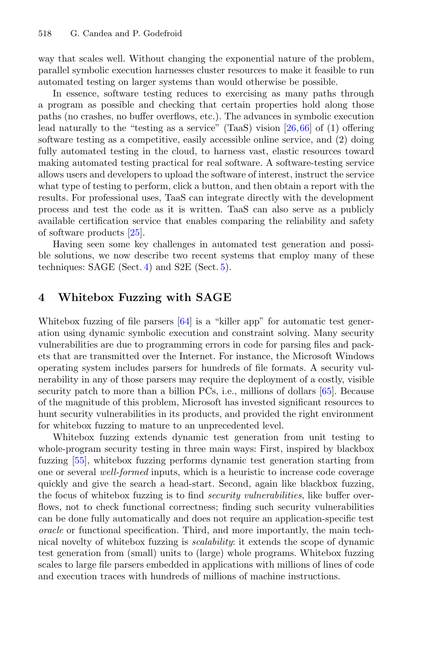way that scales well. Without changing the exponential nature of the problem, parallel symbolic execution harnesses cluster resources to make it feasible to run automated testing on larger systems than would otherwise be possible.

In essence, software testing reduces to exercising as many paths through a program as possible and checking that certain properties hold along those paths (no crashes, no buffer overflows, etc.). The advances in symbolic execution lead naturally to the "testing as a service" (TaaS) vision [\[26,](#page-21-11)[66\]](#page-23-11) of (1) offering software testing as a competitive, easily accessible online service, and (2) doing fully automated testing in the cloud, to harness vast, elastic resources toward making automated testing practical for real software. A software-testing service allows users and developers to upload the software of interest, instruct the service what type of testing to perform, click a button, and then obtain a report with the results. For professional uses, TaaS can integrate directly with the development process and test the code as it is written. TaaS can also serve as a publicly available certification service that enables comparing the reliability and safety of software products [\[25\]](#page-21-12).

Having seen some key challenges in automated test generation and possible solutions, we now describe two recent systems that employ many of these techniques: SAGE (Sect. [4\)](#page-13-0) and S2E (Sect. [5\)](#page-15-0).

### <span id="page-13-0"></span>**4 Whitebox Fuzzing with SAGE**

Whitebox fuzzing of file parsers  $[64]$  $[64]$  is a "killer app" for automatic test generation using dynamic symbolic execution and constraint solving. Many security vulnerabilities are due to programming errors in code for parsing files and packets that are transmitted over the Internet. For instance, the Microsoft Windows operating system includes parsers for hundreds of file formats. A security vulnerability in any of those parsers may require the deployment of a costly, visible security patch to more than a billion PCs, i.e., millions of dollars [\[65](#page-23-12)]. Because of the magnitude of this problem, Microsoft has invested significant resources to hunt security vulnerabilities in its products, and provided the right environment for whitebox fuzzing to mature to an unprecedented level.

Whitebox fuzzing extends dynamic test generation from unit testing to whole-program security testing in three main ways: First, inspired by blackbox fuzzing [\[55\]](#page-22-11), whitebox fuzzing performs dynamic test generation starting from one or several *well-formed* inputs, which is a heuristic to increase code coverage quickly and give the search a head-start. Second, again like blackbox fuzzing, the focus of whitebox fuzzing is to find *security vulnerabilities*, like buffer overflows, not to check functional correctness; finding such security vulnerabilities can be done fully automatically and does not require an application-specific test *oracle* or functional specification. Third, and more importantly, the main technical novelty of whitebox fuzzing is *scalability*: it extends the scope of dynamic test generation from (small) units to (large) whole programs. Whitebox fuzzing scales to large file parsers embedded in applications with millions of lines of code and execution traces with hundreds of millions of machine instructions.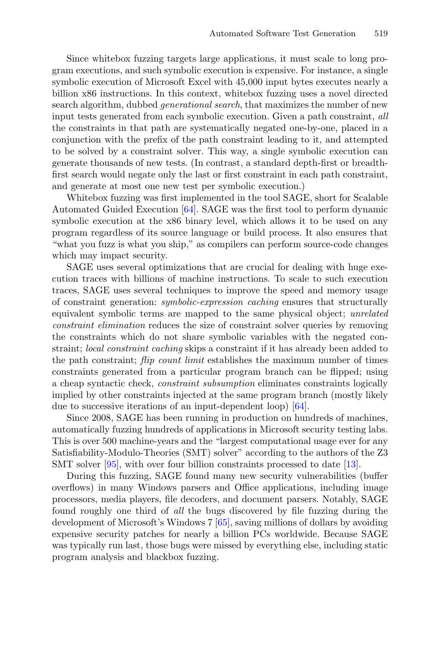Since whitebox fuzzing targets large applications, it must scale to long program executions, and such symbolic execution is expensive. For instance, a single symbolic execution of Microsoft Excel with 45,000 input bytes executes nearly a billion x86 instructions. In this context, whitebox fuzzing uses a novel directed search algorithm, dubbed *generational search*, that maximizes the number of new input tests generated from each symbolic execution. Given a path constraint, *all* the constraints in that path are systematically negated one-by-one, placed in a conjunction with the prefix of the path constraint leading to it, and attempted to be solved by a constraint solver. This way, a single symbolic execution can generate thousands of new tests. (In contrast, a standard depth-first or breadthfirst search would negate only the last or first constraint in each path constraint, and generate at most one new test per symbolic execution.)

Whitebox fuzzing was first implemented in the tool SAGE, short for Scalable Automated Guided Execution [\[64](#page-23-4)]. SAGE was the first tool to perform dynamic symbolic execution at the x86 binary level, which allows it to be used on any program regardless of its source language or build process. It also ensures that "what you fuzz is what you ship," as compilers can perform source-code changes which may impact security.

SAGE uses several optimizations that are crucial for dealing with huge execution traces with billions of machine instructions. To scale to such execution traces, SAGE uses several techniques to improve the speed and memory usage of constraint generation: *symbolic-expression caching* ensures that structurally equivalent symbolic terms are mapped to the same physical object; *unrelated constraint elimination* reduces the size of constraint solver queries by removing the constraints which do not share symbolic variables with the negated constraint; *local constraint caching* skips a constraint if it has already been added to the path constraint; *flip count limit* establishes the maximum number of times constraints generated from a particular program branch can be flipped; using a cheap syntactic check, *constraint subsumption* eliminates constraints logically implied by other constraints injected at the same program branch (mostly likely due to successive iterations of an input-dependent loop) [\[64](#page-23-4)].

Since 2008, SAGE has been running in production on hundreds of machines, automatically fuzzing hundreds of applications in Microsoft security testing labs. This is over 500 machine-years and the "largest computational usage ever for any Satisfiability-Modulo-Theories (SMT) solver" according to the authors of the Z3 SMT solver [\[95\]](#page-24-13), with over four billion constraints processed to date [\[13](#page-20-7)].

During this fuzzing, SAGE found many new security vulnerabilities (buffer overflows) in many Windows parsers and Office applications, including image processors, media players, file decoders, and document parsers. Notably, SAGE found roughly one third of *all* the bugs discovered by file fuzzing during the development of Microsoft's Windows 7 [\[65](#page-23-12)], saving millions of dollars by avoiding expensive security patches for nearly a billion PCs worldwide. Because SAGE was typically run last, those bugs were missed by everything else, including static program analysis and blackbox fuzzing.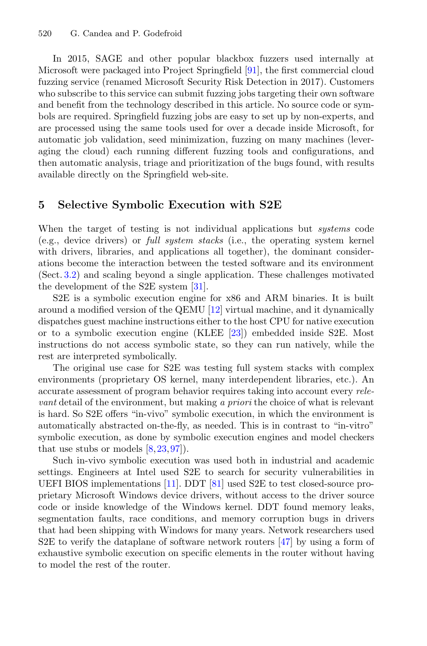In 2015, SAGE and other popular blackbox fuzzers used internally at Microsoft were packaged into Project Springfield [\[91\]](#page-24-1), the first commercial cloud fuzzing service (renamed Microsoft Security Risk Detection in 2017). Customers who subscribe to this service can submit fuzzing jobs targeting their own software and benefit from the technology described in this article. No source code or symbols are required. Springfield fuzzing jobs are easy to set up by non-experts, and are processed using the same tools used for over a decade inside Microsoft, for automatic job validation, seed minimization, fuzzing on many machines (leveraging the cloud) each running different fuzzing tools and configurations, and then automatic analysis, triage and prioritization of the bugs found, with results available directly on the Springfield web-site.

### <span id="page-15-0"></span>**5 Selective Symbolic Execution with S2E**

When the target of testing is not individual applications but *systems* code (e.g., device drivers) or *full system stacks* (i.e., the operating system kernel with drivers, libraries, and applications all together), the dominant considerations become the interaction between the tested software and its environment (Sect. [3.2\)](#page-6-0) and scaling beyond a single application. These challenges motivated the development of the S2E system [\[31](#page-21-4)].

S2E is a symbolic execution engine for x86 and ARM binaries. It is built around a modified version of the QEMU [\[12\]](#page-20-8) virtual machine, and it dynamically dispatches guest machine instructions either to the host CPU for native execution or to a symbolic execution engine (KLEE [\[23\]](#page-21-3)) embedded inside S2E. Most instructions do not access symbolic state, so they can run natively, while the rest are interpreted symbolically.

The original use case for S2E was testing full system stacks with complex environments (proprietary OS kernel, many interdependent libraries, etc.). An accurate assessment of program behavior requires taking into account every *relevant* detail of the environment, but making *a priori* the choice of what is relevant is hard. So S2E offers "in-vivo" symbolic execution, in which the environment is automatically abstracted on-the-fly, as needed. This is in contrast to "in-vitro" symbolic execution, as done by symbolic execution engines and model checkers that use stubs or models  $[8, 23, 97]$  $[8, 23, 97]$  $[8, 23, 97]$  $[8, 23, 97]$  $[8, 23, 97]$  $[8, 23, 97]$ .

Such in-vivo symbolic execution was used both in industrial and academic settings. Engineers at Intel used S2E to search for security vulnerabilities in UEFI BIOS implementations [\[11](#page-20-10)]. DDT [\[81](#page-24-14)] used S2E to test closed-source proprietary Microsoft Windows device drivers, without access to the driver source code or inside knowledge of the Windows kernel. DDT found memory leaks, segmentation faults, race conditions, and memory corruption bugs in drivers that had been shipping with Windows for many years. Network researchers used S2E to verify the dataplane of software network routers [\[47\]](#page-22-12) by using a form of exhaustive symbolic execution on specific elements in the router without having to model the rest of the router.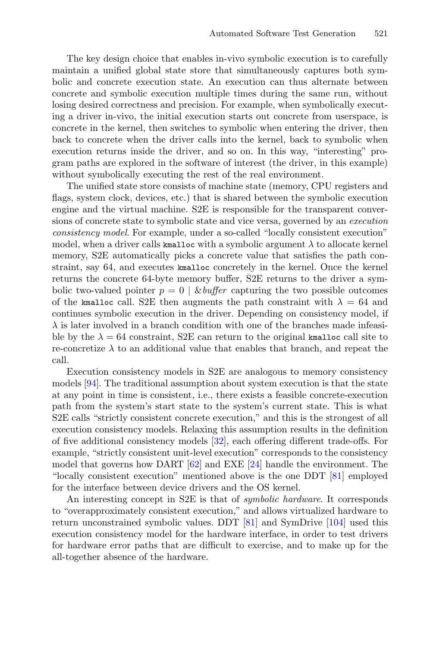The key design choice that enables in-vivo symbolic execution is to carefully maintain a unified global state store that simultaneously captures both symbolic and concrete execution state. An execution can thus alternate between concrete and symbolic execution multiple times during the same run, without losing desired correctness and precision. For example, when symbolically executing a driver in-vivo, the initial execution starts out concrete from userspace, is concrete in the kernel, then switches to symbolic when entering the driver, then back to concrete when the driver calls into the kernel, back to symbolic when execution returns inside the driver, and so on. In this way, "interesting" program paths are explored in the software of interest (the driver, in this example) without symbolically executing the rest of the real environment.

The unified state store consists of machine state (memory, CPU registers and flags, system clock, devices, etc.) that is shared between the symbolic execution engine and the virtual machine. S2E is responsible for the transparent conversions of concrete state to symbolic state and vice versa, governed by an *execution consistency model*. For example, under a so-called "locally consistent execution" model, when a driver calls kmalloc with a symbolic argument  $\lambda$  to allocate kernel memory, S2E automatically picks a concrete value that satisfies the path constraint, say 64, and executes kmalloc concretely in the kernel. Once the kernel returns the concrete 64-byte memory buffer, S2E returns to the driver a symbolic two-valued pointer  $p = 0$  | &*buffer* capturing the two possible outcomes of the kmalloc call. S2E then augments the path constraint with  $\lambda = 64$  and continues symbolic execution in the driver. Depending on consistency model, if  $\lambda$  is later involved in a branch condition with one of the branches made infeasible by the  $\lambda = 64$  constraint, S2E can return to the original kmalloc call site to re-concretize  $\lambda$  to an additional value that enables that branch, and repeat the call.

Execution consistency models in S2E are analogous to memory consistency models [\[94](#page-24-15)]. The traditional assumption about system execution is that the state at any point in time is consistent, i.e., there exists a feasible concrete-execution path from the system's start state to the system's current state. This is what S2E calls "strictly consistent concrete execution," and this is the strongest of all execution consistency models. Relaxing this assumption results in the definition of five additional consistency models [\[32](#page-21-13)], each offering different trade-offs. For example, "strictly consistent unit-level execution" corresponds to the consistency model that governs how DART [\[62](#page-23-1)] and EXE [\[24](#page-21-5)] handle the environment. The "locally consistent execution" mentioned above is the one DDT [\[81](#page-24-14)] employed for the interface between device drivers and the OS kernel.

An interesting concept in S2E is that of *symbolic hardware*. It corresponds to "overapproximately consistent execution," and allows virtualized hardware to return unconstrained symbolic values. DDT [\[81\]](#page-24-14) and SymDrive [\[104\]](#page-25-12) used this execution consistency model for the hardware interface, in order to test drivers for hardware error paths that are difficult to exercise, and to make up for the all-together absence of the hardware.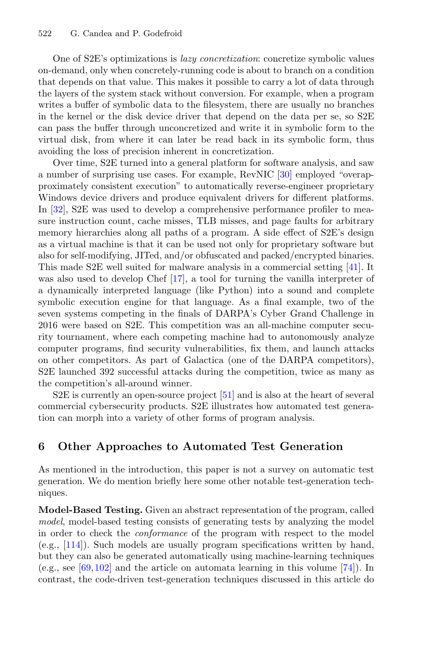One of S2E's optimizations is *lazy concretization*: concretize symbolic values on-demand, only when concretely-running code is about to branch on a condition that depends on that value. This makes it possible to carry a lot of data through the layers of the system stack without conversion. For example, when a program writes a buffer of symbolic data to the filesystem, there are usually no branches in the kernel or the disk device driver that depend on the data per se, so S2E can pass the buffer through unconcretized and write it in symbolic form to the virtual disk, from where it can later be read back in its symbolic form, thus avoiding the loss of precision inherent in concretization.

Over time, S2E turned into a general platform for software analysis, and saw a number of surprising use cases. For example, RevNIC [\[30](#page-21-14)] employed "overapproximately consistent execution" to automatically reverse-engineer proprietary Windows device drivers and produce equivalent drivers for different platforms. In [\[32\]](#page-21-13), S2E was used to develop a comprehensive performance profiler to measure instruction count, cache misses, TLB misses, and page faults for arbitrary memory hierarchies along all paths of a program. A side effect of S2E's design as a virtual machine is that it can be used not only for proprietary software but also for self-modifying, JITed, and/or obfuscated and packed/encrypted binaries. This made S2E well suited for malware analysis in a commercial setting [\[41\]](#page-22-13). It was also used to develop Chef [\[17\]](#page-21-15), a tool for turning the vanilla interpreter of a dynamically interpreted language (like Python) into a sound and complete symbolic execution engine for that language. As a final example, two of the seven systems competing in the finals of DARPA's Cyber Grand Challenge in 2016 were based on S2E. This competition was an all-machine computer security tournament, where each competing machine had to autonomously analyze computer programs, find security vulnerabilities, fix them, and launch attacks on other competitors. As part of Galactica (one of the DARPA competitors), S2E launched 392 successful attacks during the competition, twice as many as the competition's all-around winner.

S2E is currently an open-source project [\[51\]](#page-22-14) and is also at the heart of several commercial cybersecurity products. S2E illustrates how automated test generation can morph into a variety of other forms of program analysis.

# <span id="page-17-0"></span>**6 Other Approaches to Automated Test Generation**

As mentioned in the introduction, this paper is not a survey on automatic test generation. We do mention briefly here some other notable test-generation techniques.

**Model-Based Testing.** Given an abstract representation of the program, called *model*, model-based testing consists of generating tests by analyzing the model in order to check the *conformance* of the program with respect to the model (e.g., [\[114\]](#page-25-13)). Such models are usually program specifications written by hand, but they can also be generated automatically using machine-learning techniques (e.g., see [\[69](#page-23-13)[,102](#page-25-14)] and the article on automata learning in this volume  $[74]$  $[74]$ ). In contrast, the code-driven test-generation techniques discussed in this article do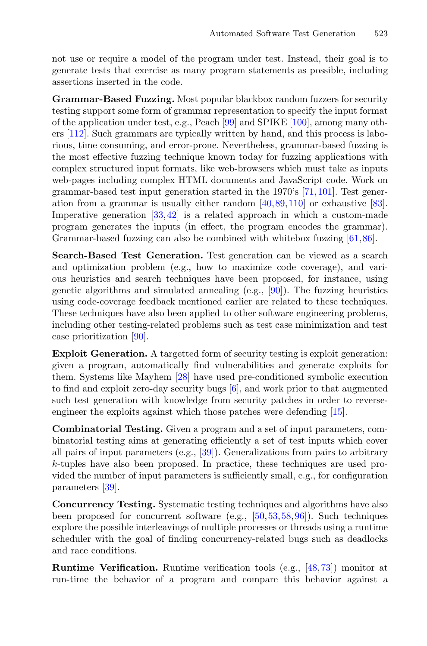not use or require a model of the program under test. Instead, their goal is to generate tests that exercise as many program statements as possible, including assertions inserted in the code.

**Grammar-Based Fuzzing.** Most popular blackbox random fuzzers for security testing support some form of grammar representation to specify the input format of the application under test, e.g., Peach [\[99](#page-25-15)] and SPIKE [\[100\]](#page-25-16), among many others [\[112](#page-25-17)]. Such grammars are typically written by hand, and this process is laborious, time consuming, and error-prone. Nevertheless, grammar-based fuzzing is the most effective fuzzing technique known today for fuzzing applications with complex structured input formats, like web-browsers which must take as inputs web-pages including complex HTML documents and JavaScript code. Work on grammar-based test input generation started in the 1970's [\[71](#page-23-15)[,101](#page-25-18)]. Test generation from a grammar is usually either random [\[40](#page-22-15)[,89](#page-24-16)[,110](#page-25-19)] or exhaustive [\[83\]](#page-24-17). Imperative generation  $[33, 42]$  $[33, 42]$  $[33, 42]$  is a related approach in which a custom-made program generates the inputs (in effect, the program encodes the grammar). Grammar-based fuzzing can also be combined with whitebox fuzzing [\[61,](#page-23-16)[86](#page-24-18)].

**Search-Based Test Generation.** Test generation can be viewed as a search and optimization problem (e.g., how to maximize code coverage), and various heuristics and search techniques have been proposed, for instance, using genetic algorithms and simulated annealing (e.g., [\[90\]](#page-24-19)). The fuzzing heuristics using code-coverage feedback mentioned earlier are related to these techniques. These techniques have also been applied to other software engineering problems, including other testing-related problems such as test case minimization and test case prioritization [\[90\]](#page-24-19).

**Exploit Generation.** A targetted form of security testing is exploit generation: given a program, automatically find vulnerabilities and generate exploits for them. Systems like Mayhem [\[28](#page-21-17)] have used pre-conditioned symbolic execution to find and exploit zero-day security bugs [\[6](#page-20-11)], and work prior to that augmented such test generation with knowledge from security patches in order to reverse-engineer the exploits against which those patches were defending [\[15](#page-21-18)].

**Combinatorial Testing.** Given a program and a set of input parameters, combinatorial testing aims at generating efficiently a set of test inputs which cover all pairs of input parameters (e.g., [\[39\]](#page-22-17)). Generalizations from pairs to arbitrary k-tuples have also been proposed. In practice, these techniques are used provided the number of input parameters is sufficiently small, e.g., for configuration parameters [\[39\]](#page-22-17).

**Concurrency Testing.** Systematic testing techniques and algorithms have also been proposed for concurrent software (e.g., [\[50](#page-22-18)[,53,](#page-22-19)[58](#page-23-17)[,96](#page-25-20)]). Such techniques explore the possible interleavings of multiple processes or threads using a runtime scheduler with the goal of finding concurrency-related bugs such as deadlocks and race conditions.

**Runtime Verification.** Runtime verification tools (e.g., [\[48](#page-22-20)[,73](#page-23-18)]) monitor at run-time the behavior of a program and compare this behavior against a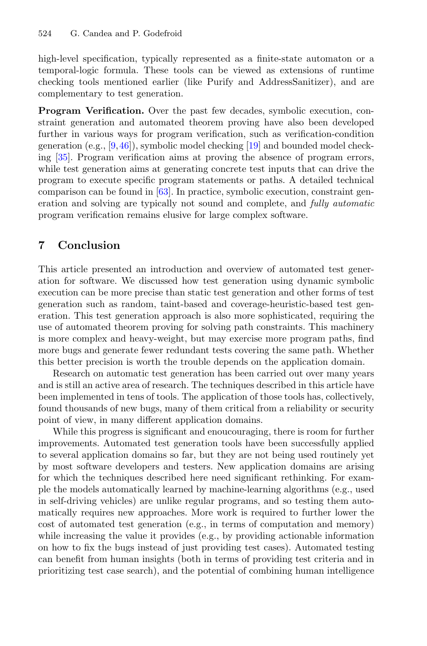high-level specification, typically represented as a finite-state automaton or a temporal-logic formula. These tools can be viewed as extensions of runtime checking tools mentioned earlier (like Purify and AddressSanitizer), and are complementary to test generation.

**Program Verification.** Over the past few decades, symbolic execution, constraint generation and automated theorem proving have also been developed further in various ways for program verification, such as verification-condition generation (e.g.,  $[9,46]$  $[9,46]$  $[9,46]$ ), symbolic model checking [\[19\]](#page-21-19) and bounded model checking [\[35\]](#page-22-21). Program verification aims at proving the absence of program errors, while test generation aims at generating concrete test inputs that can drive the program to execute specific program statements or paths. A detailed technical comparison can be found in  $[63]$  $[63]$ . In practice, symbolic execution, constraint generation and solving are typically not sound and complete, and *fully automatic* program verification remains elusive for large complex software.

# <span id="page-19-0"></span>**7 Conclusion**

This article presented an introduction and overview of automated test generation for software. We discussed how test generation using dynamic symbolic execution can be more precise than static test generation and other forms of test generation such as random, taint-based and coverage-heuristic-based test generation. This test generation approach is also more sophisticated, requiring the use of automated theorem proving for solving path constraints. This machinery is more complex and heavy-weight, but may exercise more program paths, find more bugs and generate fewer redundant tests covering the same path. Whether this better precision is worth the trouble depends on the application domain.

Research on automatic test generation has been carried out over many years and is still an active area of research. The techniques described in this article have been implemented in tens of tools. The application of those tools has, collectively, found thousands of new bugs, many of them critical from a reliability or security point of view, in many different application domains.

While this progress is significant and enoucouraging, there is room for further improvements. Automated test generation tools have been successfully applied to several application domains so far, but they are not being used routinely yet by most software developers and testers. New application domains are arising for which the techniques described here need significant rethinking. For example the models automatically learned by machine-learning algorithms (e.g., used in self-driving vehicles) are unlike regular programs, and so testing them automatically requires new approaches. More work is required to further lower the cost of automated test generation (e.g., in terms of computation and memory) while increasing the value it provides (e.g., by providing actionable information on how to fix the bugs instead of just providing test cases). Automated testing can benefit from human insights (both in terms of providing test criteria and in prioritizing test case search), and the potential of combining human intelligence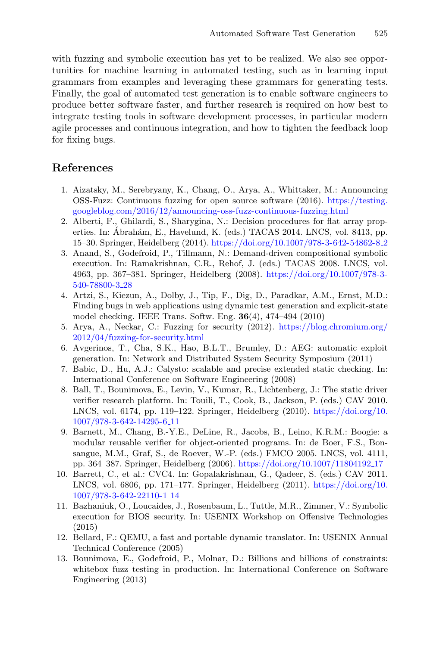with fuzzing and symbolic execution has yet to be realized. We also see opportunities for machine learning in automated testing, such as in learning input grammars from examples and leveraging these grammars for generating tests. Finally, the goal of automated test generation is to enable software engineers to produce better software faster, and further research is required on how best to integrate testing tools in software development processes, in particular modern agile processes and continuous integration, and how to tighten the feedback loop for fixing bugs.

## **References**

- <span id="page-20-0"></span>1. Aizatsky, M., Serebryany, K., Chang, O., Arya, A., Whittaker, M.: Announcing OSS-Fuzz: Continuous fuzzing for open source software (2016). [https://testing.](https://testing.googleblog.com/2016/12/announcing-oss-fuzz-continuous-fuzzing.html) [googleblog.com/2016/12/announcing-oss-fuzz-continuous-fuzzing.html](https://testing.googleblog.com/2016/12/announcing-oss-fuzz-continuous-fuzzing.html)
- <span id="page-20-5"></span>2. Alberti, F., Ghilardi, S., Sharygina, N.: Decision procedures for flat array properties. In: Ábrahám, E., Havelund, K. (eds.) TACAS 2014. LNCS, vol. 8413, pp. 15–30. Springer, Heidelberg (2014). [https://doi.org/10.1007/978-3-642-54862-8](https://doi.org/10.1007/978-3-642-54862-8_2) 2
- <span id="page-20-3"></span>3. Anand, S., Godefroid, P., Tillmann, N.: Demand-driven compositional symbolic execution. In: Ramakrishnan, C.R., Rehof, J. (eds.) TACAS 2008. LNCS, vol. 4963, pp. 367–381. Springer, Heidelberg (2008). [https://doi.org/10.1007/978-3-](https://doi.org/10.1007/978-3-540-78800-3_28) [540-78800-3](https://doi.org/10.1007/978-3-540-78800-3_28) 28
- <span id="page-20-4"></span>4. Artzi, S., Kiezun, A., Dolby, J., Tip, F., Dig, D., Paradkar, A.M., Ernst, M.D.: Finding bugs in web applications using dynamic test generation and explicit-state model checking. IEEE Trans. Softw. Eng. **36**(4), 474–494 (2010)
- <span id="page-20-1"></span>5. Arya, A., Neckar, C.: Fuzzing for security (2012). [https://blog.chromium.org/](https://blog.chromium.org/2012/04/fuzzing-for-security.html) [2012/04/fuzzing-for-security.html](https://blog.chromium.org/2012/04/fuzzing-for-security.html)
- <span id="page-20-11"></span>6. Avgerinos, T., Cha, S.K., Hao, B.L.T., Brumley, D.: AEG: automatic exploit generation. In: Network and Distributed System Security Symposium (2011)
- <span id="page-20-2"></span>7. Babic, D., Hu, A.J.: Calysto: scalable and precise extended static checking. In: International Conference on Software Engineering (2008)
- <span id="page-20-9"></span>8. Ball, T., Bounimova, E., Levin, V., Kumar, R., Lichtenberg, J.: The static driver verifier research platform. In: Touili, T., Cook, B., Jackson, P. (eds.) CAV 2010. LNCS, vol. 6174, pp. 119–122. Springer, Heidelberg (2010). [https://doi.org/10.](https://doi.org/10.1007/978-3-642-14295-6_11) [1007/978-3-642-14295-6](https://doi.org/10.1007/978-3-642-14295-6_11) 11
- <span id="page-20-12"></span>9. Barnett, M., Chang, B.-Y.E., DeLine, R., Jacobs, B., Leino, K.R.M.: Boogie: a modular reusable verifier for object-oriented programs. In: de Boer, F.S., Bonsangue, M.M., Graf, S., de Roever, W.-P. (eds.) FMCO 2005. LNCS, vol. 4111, pp. 364–387. Springer, Heidelberg (2006). [https://doi.org/10.1007/11804192](https://doi.org/10.1007/11804192_17) 17
- <span id="page-20-6"></span>10. Barrett, C., et al.: CVC4. In: Gopalakrishnan, G., Qadeer, S. (eds.) CAV 2011. LNCS, vol. 6806, pp. 171–177. Springer, Heidelberg (2011). [https://doi.org/10.](https://doi.org/10.1007/978-3-642-22110-1_14) [1007/978-3-642-22110-1](https://doi.org/10.1007/978-3-642-22110-1_14) 14
- <span id="page-20-10"></span>11. Bazhaniuk, O., Loucaides, J., Rosenbaum, L., Tuttle, M.R., Zimmer, V.: Symbolic execution for BIOS security. In: USENIX Workshop on Offensive Technologies (2015)
- <span id="page-20-8"></span>12. Bellard, F.: QEMU, a fast and portable dynamic translator. In: USENIX Annual Technical Conference (2005)
- <span id="page-20-7"></span>13. Bounimova, E., Godefroid, P., Molnar, D.: Billions and billions of constraints: whitebox fuzz testing in production. In: International Conference on Software Engineering (2013)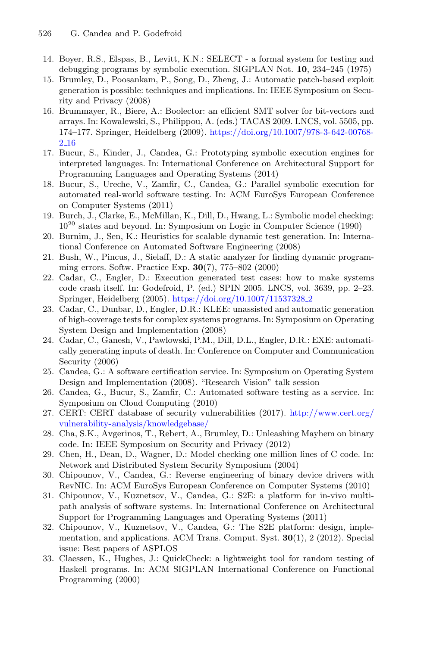- <span id="page-21-1"></span>14. Boyer, R.S., Elspas, B., Levitt, K.N.: SELECT - a formal system for testing and debugging programs by symbolic execution. SIGPLAN Not. **10**, 234–245 (1975)
- <span id="page-21-18"></span>15. Brumley, D., Poosankam, P., Song, D., Zheng, J.: Automatic patch-based exploit generation is possible: techniques and implications. In: IEEE Symposium on Security and Privacy (2008)
- <span id="page-21-10"></span>16. Brummayer, R., Biere, A.: Boolector: an efficient SMT solver for bit-vectors and arrays. In: Kowalewski, S., Philippou, A. (eds.) TACAS 2009. LNCS, vol. 5505, pp. 174–177. Springer, Heidelberg (2009). [https://doi.org/10.1007/978-3-642-00768-](https://doi.org/10.1007/978-3-642-00768-2_16) 2 [16](https://doi.org/10.1007/978-3-642-00768-2_16)
- <span id="page-21-15"></span>17. Bucur, S., Kinder, J., Candea, G.: Prototyping symbolic execution engines for interpreted languages. In: International Conference on Architectural Support for Programming Languages and Operating Systems (2014)
- <span id="page-21-6"></span>18. Bucur, S., Ureche, V., Zamfir, C., Candea, G.: Parallel symbolic execution for automated real-world software testing. In: ACM EuroSys European Conference on Computer Systems (2011)
- <span id="page-21-19"></span>19. Burch, J., Clarke, E., McMillan, K., Dill, D., Hwang, L.: Symbolic model checking:  $10^{20}$  states and beyond. In: Symposium on Logic in Computer Science (1990)
- <span id="page-21-9"></span>20. Burnim, J., Sen, K.: Heuristics for scalable dynamic test generation. In: International Conference on Automated Software Engineering (2008)
- <span id="page-21-7"></span>21. Bush, W., Pincus, J., Sielaff, D.: A static analyzer for finding dynamic programming errors. Softw. Practice Exp. **30**(7), 775–802 (2000)
- <span id="page-21-2"></span>22. Cadar, C., Engler, D.: Execution generated test cases: how to make systems code crash itself. In: Godefroid, P. (ed.) SPIN 2005. LNCS, vol. 3639, pp. 2–23. Springer, Heidelberg (2005). [https://doi.org/10.1007/11537328](https://doi.org/10.1007/11537328_2) 2
- <span id="page-21-3"></span>23. Cadar, C., Dunbar, D., Engler, D.R.: KLEE: unassisted and automatic generation of high-coverage tests for complex systems programs. In: Symposium on Operating System Design and Implementation (2008)
- <span id="page-21-5"></span>24. Cadar, C., Ganesh, V., Pawlowski, P.M., Dill, D.L., Engler, D.R.: EXE: automatically generating inputs of death. In: Conference on Computer and Communication Security (2006)
- <span id="page-21-12"></span>25. Candea, G.: A software certification service. In: Symposium on Operating System Design and Implementation (2008). "Research Vision" talk session
- <span id="page-21-11"></span>26. Candea, G., Bucur, S., Zamfir, C.: Automated software testing as a service. In: Symposium on Cloud Computing (2010)
- <span id="page-21-0"></span>27. CERT: CERT database of security vulnerabilities (2017). [http://www.cert.org/](http://www.cert.org/vulnerability-analysis/knowledgebase/) [vulnerability-analysis/knowledgebase/](http://www.cert.org/vulnerability-analysis/knowledgebase/)
- <span id="page-21-17"></span>28. Cha, S.K., Avgerinos, T., Rebert, A., Brumley, D.: Unleashing Mayhem on binary code. In: IEEE Symposium on Security and Privacy (2012)
- <span id="page-21-8"></span>29. Chen, H., Dean, D., Wagner, D.: Model checking one million lines of C code. In: Network and Distributed System Security Symposium (2004)
- <span id="page-21-14"></span>30. Chipounov, V., Candea, G.: Reverse engineering of binary device drivers with RevNIC. In: ACM EuroSys European Conference on Computer Systems (2010)
- <span id="page-21-4"></span>31. Chipounov, V., Kuznetsov, V., Candea, G.: S2E: a platform for in-vivo multipath analysis of software systems. In: International Conference on Architectural Support for Programming Languages and Operating Systems (2011)
- <span id="page-21-13"></span>32. Chipounov, V., Kuznetsov, V., Candea, G.: The S2E platform: design, implementation, and applications. ACM Trans. Comput. Syst. **30**(1), 2 (2012). Special issue: Best papers of ASPLOS
- <span id="page-21-16"></span>33. Claessen, K., Hughes, J.: QuickCheck: a lightweight tool for random testing of Haskell programs. In: ACM SIGPLAN International Conference on Functional Programming (2000)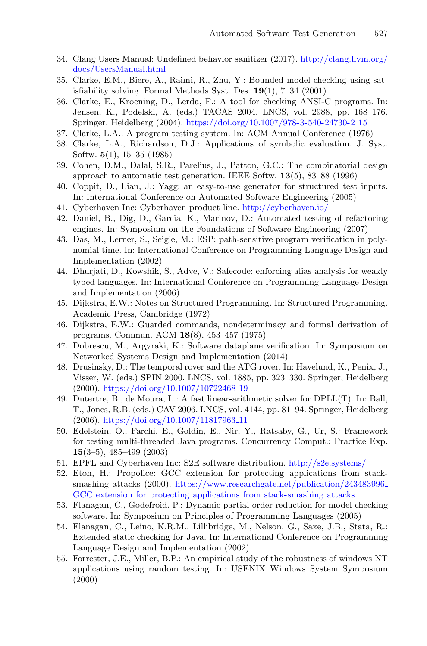- <span id="page-22-1"></span>34. Clang Users Manual: Undefined behavior sanitizer (2017). [http://clang.llvm.org/](http://clang.llvm.org/docs/UsersManual.html) [docs/UsersManual.html](http://clang.llvm.org/docs/UsersManual.html)
- <span id="page-22-21"></span>35. Clarke, E.M., Biere, A., Raimi, R., Zhu, Y.: Bounded model checking using satisfiability solving. Formal Methods Syst. Des. **19**(1), 7–34 (2001)
- <span id="page-22-7"></span>36. Clarke, E., Kroening, D., Lerda, F.: A tool for checking ANSI-C programs. In: Jensen, K., Podelski, A. (eds.) TACAS 2004. LNCS, vol. 2988, pp. 168–176. Springer, Heidelberg (2004). [https://doi.org/10.1007/978-3-540-24730-2](https://doi.org/10.1007/978-3-540-24730-2_15) 15
- <span id="page-22-4"></span>37. Clarke, L.A.: A program testing system. In: ACM Annual Conference (1976)
- <span id="page-22-5"></span>38. Clarke, L.A., Richardson, D.J.: Applications of symbolic evaluation. J. Syst. Softw. **5**(1), 15–35 (1985)
- <span id="page-22-17"></span>39. Cohen, D.M., Dalal, S.R., Parelius, J., Patton, G.C.: The combinatorial design approach to automatic test generation. IEEE Softw. **13**(5), 83–88 (1996)
- <span id="page-22-15"></span>40. Coppit, D., Lian, J.: Yagg: an easy-to-use generator for structured test inputs. In: International Conference on Automated Software Engineering (2005)
- <span id="page-22-13"></span>41. Cyberhaven Inc: Cyberhaven product line. <http://cyberhaven.io/>
- <span id="page-22-16"></span>42. Daniel, B., Dig, D., Garcia, K., Marinov, D.: Automated testing of refactoring engines. In: Symposium on the Foundations of Software Engineering (2007)
- <span id="page-22-9"></span>43. Das, M., Lerner, S., Seigle, M.: ESP: path-sensitive program verification in polynomial time. In: International Conference on Programming Language Design and Implementation (2002)
- <span id="page-22-2"></span>44. Dhurjati, D., Kowshik, S., Adve, V.: Safecode: enforcing alias analysis for weakly typed languages. In: International Conference on Programming Language Design and Implementation (2006)
- <span id="page-22-0"></span>45. Dijkstra, E.W.: Notes on Structured Programming. In: Structured Programming. Academic Press, Cambridge (1972)
- <span id="page-22-6"></span>46. Dijkstra, E.W.: Guarded commands, nondeterminacy and formal derivation of programs. Commun. ACM **18**(8), 453–457 (1975)
- <span id="page-22-12"></span>47. Dobrescu, M., Argyraki, K.: Software dataplane verification. In: Symposium on Networked Systems Design and Implementation (2014)
- <span id="page-22-20"></span>48. Drusinsky, D.: The temporal rover and the ATG rover. In: Havelund, K., Penix, J., Visser, W. (eds.) SPIN 2000. LNCS, vol. 1885, pp. 323–330. Springer, Heidelberg (2000). [https://doi.org/10.1007/10722468](https://doi.org/10.1007/10722468_19) 19
- <span id="page-22-10"></span>49. Dutertre, B., de Moura, L.: A fast linear-arithmetic solver for DPLL(T). In: Ball, T., Jones, R.B. (eds.) CAV 2006. LNCS, vol. 4144, pp. 81–94. Springer, Heidelberg (2006). [https://doi.org/10.1007/11817963](https://doi.org/10.1007/11817963_11) 11
- <span id="page-22-18"></span>50. Edelstein, O., Farchi, E., Goldin, E., Nir, Y., Ratsaby, G., Ur, S.: Framework for testing multi-threaded Java programs. Concurrency Comput.: Practice Exp. **15**(3–5), 485–499 (2003)
- <span id="page-22-14"></span>51. EPFL and Cyberhaven Inc: S2E software distribution. <http://s2e.systems/>
- <span id="page-22-3"></span>52. Etoh, H.: Propolice: GCC extension for protecting applications from stacksmashing attacks (2000). [https://www.researchgate.net/publication/243483996](https://www.researchgate.net/publication/243483996_GCC_extension_for_protecting_applications_from_stack-smashing_attacks ) GCC extension for protecting applications from [stack-smashing](https://www.researchgate.net/publication/243483996_GCC_extension_for_protecting_applications_from_stack-smashing_attacks ) attacks
- <span id="page-22-19"></span>53. Flanagan, C., Godefroid, P.: Dynamic partial-order reduction for model checking software. In: Symposium on Principles of Programming Languages (2005)
- <span id="page-22-8"></span>54. Flanagan, C., Leino, K.R.M., Lillibridge, M., Nelson, G., Saxe, J.B., Stata, R.: Extended static checking for Java. In: International Conference on Programming Language Design and Implementation (2002)
- <span id="page-22-11"></span>55. Forrester, J.E., Miller, B.P.: An empirical study of the robustness of windows NT applications using random testing. In: USENIX Windows System Symposium (2000)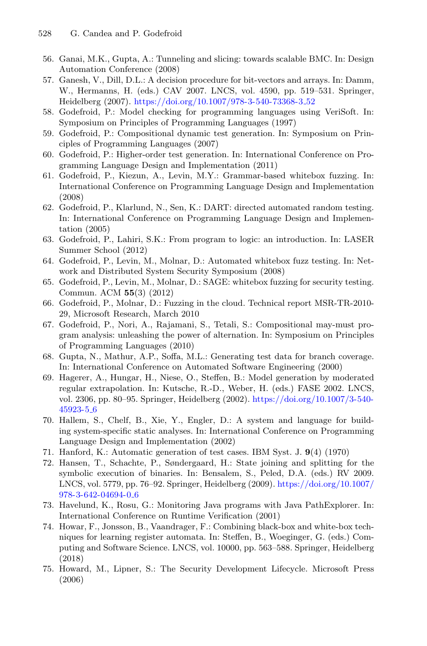- <span id="page-23-8"></span>56. Ganai, M.K., Gupta, A.: Tunneling and slicing: towards scalable BMC. In: Design Automation Conference (2008)
- <span id="page-23-10"></span>57. Ganesh, V., Dill, D.L.: A decision procedure for bit-vectors and arrays. In: Damm, W., Hermanns, H. (eds.) CAV 2007. LNCS, vol. 4590, pp. 519–531. Springer, Heidelberg (2007). [https://doi.org/10.1007/978-3-540-73368-3](https://doi.org/10.1007/978-3-540-73368-3_52) 52
- <span id="page-23-17"></span>58. Godefroid, P.: Model checking for programming languages using VeriSoft. In: Symposium on Principles of Programming Languages (1997)
- <span id="page-23-6"></span>59. Godefroid, P.: Compositional dynamic test generation. In: Symposium on Principles of Programming Languages (2007)
- <span id="page-23-3"></span>60. Godefroid, P.: Higher-order test generation. In: International Conference on Programming Language Design and Implementation (2011)
- <span id="page-23-16"></span>61. Godefroid, P., Kiezun, A., Levin, M.Y.: Grammar-based whitebox fuzzing. In: International Conference on Programming Language Design and Implementation (2008)
- <span id="page-23-1"></span>62. Godefroid, P., Klarlund, N., Sen, K.: DART: directed automated random testing. In: International Conference on Programming Language Design and Implementation (2005)
- <span id="page-23-19"></span>63. Godefroid, P., Lahiri, S.K.: From program to logic: an introduction. In: LASER Summer School (2012)
- <span id="page-23-4"></span>64. Godefroid, P., Levin, M., Molnar, D.: Automated whitebox fuzz testing. In: Network and Distributed System Security Symposium (2008)
- <span id="page-23-12"></span>65. Godefroid, P., Levin, M., Molnar, D.: SAGE: whitebox fuzzing for security testing. Commun. ACM **55**(3) (2012)
- <span id="page-23-11"></span>66. Godefroid, P., Molnar, D.: Fuzzing in the cloud. Technical report MSR-TR-2010- 29, Microsoft Research, March 2010
- <span id="page-23-7"></span>67. Godefroid, P., Nori, A., Rajamani, S., Tetali, S.: Compositional may-must program analysis: unleashing the power of alternation. In: Symposium on Principles of Programming Languages (2010)
- <span id="page-23-2"></span>68. Gupta, N., Mathur, A.P., Soffa, M.L.: Generating test data for branch coverage. In: International Conference on Automated Software Engineering (2000)
- <span id="page-23-13"></span>69. Hagerer, A., Hungar, H., Niese, O., Steffen, B.: Model generation by moderated regular extrapolation. In: Kutsche, R.-D., Weber, H. (eds.) FASE 2002. LNCS, vol. 2306, pp. 80–95. Springer, Heidelberg (2002). [https://doi.org/10.1007/3-540-](https://doi.org/10.1007/3-540-45923-5_6) [45923-5](https://doi.org/10.1007/3-540-45923-5_6) 6
- <span id="page-23-5"></span>70. Hallem, S., Chelf, B., Xie, Y., Engler, D.: A system and language for building system-specific static analyses. In: International Conference on Programming Language Design and Implementation (2002)
- <span id="page-23-15"></span>71. Hanford, K.: Automatic generation of test cases. IBM Syst. J. **9**(4) (1970)
- <span id="page-23-9"></span>72. Hansen, T., Schachte, P., Søndergaard, H.: State joining and splitting for the symbolic execution of binaries. In: Bensalem, S., Peled, D.A. (eds.) RV 2009. LNCS, vol. 5779, pp. 76–92. Springer, Heidelberg (2009). [https://doi.org/10.1007/](https://doi.org/10.1007/978-3-642-04694-0_6) [978-3-642-04694-0](https://doi.org/10.1007/978-3-642-04694-0_6) 6
- <span id="page-23-18"></span>73. Havelund, K., Rosu, G.: Monitoring Java programs with Java PathExplorer. In: International Conference on Runtime Verification (2001)
- <span id="page-23-14"></span>74. Howar, F., Jonsson, B., Vaandrager, F.: Combining black-box and white-box techniques for learning register automata. In: Steffen, B., Woeginger, G. (eds.) Computing and Software Science. LNCS, vol. 10000, pp. 563–588. Springer, Heidelberg (2018)
- <span id="page-23-0"></span>75. Howard, M., Lipner, S.: The Security Development Lifecycle. Microsoft Press (2006)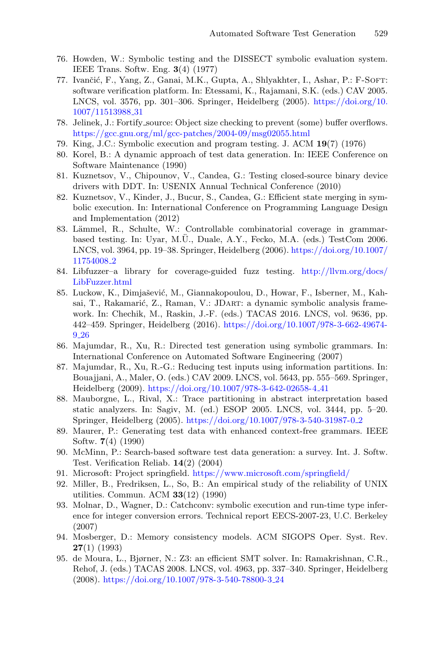- <span id="page-24-4"></span>76. Howden, W.: Symbolic testing and the DISSECT symbolic evaluation system. IEEE Trans. Softw. Eng. **3**(4) (1977)
- <span id="page-24-8"></span>77. Ivančić, F., Yang, Z., Ganai, M.K., Gupta, A., Shlyakhter, I., Ashar, P.: F-Soft. software verification platform. In: Etessami, K., Rajamani, S.K. (eds.) CAV 2005. LNCS, vol. 3576, pp. 301–306. Springer, Heidelberg (2005). [https://doi.org/10.](https://doi.org/10.1007/11513988_31) [1007/11513988](https://doi.org/10.1007/11513988_31) 31
- <span id="page-24-3"></span>78. Jelinek, J.: Fortify source: Object size checking to prevent (some) buffer overflows. <https://gcc.gnu.org/ml/gcc-patches/2004-09/msg02055.html>
- <span id="page-24-5"></span>79. King, J.C.: Symbolic execution and program testing. J. ACM **19**(7) (1976)
- <span id="page-24-6"></span>80. Korel, B.: A dynamic approach of test data generation. In: IEEE Conference on Software Maintenance (1990)
- <span id="page-24-14"></span>81. Kuznetsov, V., Chipounov, V., Candea, G.: Testing closed-source binary device drivers with DDT. In: USENIX Annual Technical Conference (2010)
- <span id="page-24-9"></span>82. Kuznetsov, V., Kinder, J., Bucur, S., Candea, G.: Efficient state merging in symbolic execution. In: International Conference on Programming Language Design and Implementation (2012)
- <span id="page-24-17"></span>83. Lämmel, R., Schulte, W.: Controllable combinatorial coverage in grammarbased testing. In: Uyar, M.U., Duale, A.Y., Fecko, M.A. (eds.) TestCom 2006. LNCS, vol. 3964, pp. 19–38. Springer, Heidelberg (2006). [https://doi.org/10.1007/](https://doi.org/10.1007/11754008_2) [11754008](https://doi.org/10.1007/11754008_2) 2
- <span id="page-24-2"></span>84. Libfuzzer–a library for coverage-guided fuzz testing. [http://llvm.org/docs/](http://llvm.org/docs/LibFuzzer.html) [LibFuzzer.html](http://llvm.org/docs/LibFuzzer.html)
- <span id="page-24-12"></span>85. Luckow, K., Dimjašević, M., Giannakopoulou, D., Howar, F., Isberner, M., Kahsai, T., Rakamarić, Z., Raman, V.: JDART: a dynamic symbolic analysis framework. In: Chechik, M., Raskin, J.-F. (eds.) TACAS 2016. LNCS, vol. 9636, pp. 442–459. Springer, Heidelberg (2016). [https://doi.org/10.1007/978-3-662-49674-](https://doi.org/10.1007/978-3-662-49674-9_26) 9 [26](https://doi.org/10.1007/978-3-662-49674-9_26)
- <span id="page-24-18"></span>86. Majumdar, R., Xu, R.: Directed test generation using symbolic grammars. In: International Conference on Automated Software Engineering (2007)
- <span id="page-24-11"></span>87. Majumdar, R., Xu, R.-G.: Reducing test inputs using information partitions. In: Bouajjani, A., Maler, O. (eds.) CAV 2009. LNCS, vol. 5643, pp. 555–569. Springer, Heidelberg (2009). [https://doi.org/10.1007/978-3-642-02658-4](https://doi.org/10.1007/978-3-642-02658-4_41) 41
- <span id="page-24-7"></span>88. Mauborgne, L., Rival, X.: Trace partitioning in abstract interpretation based static analyzers. In: Sagiv, M. (ed.) ESOP 2005. LNCS, vol. 3444, pp. 5–20. Springer, Heidelberg (2005). [https://doi.org/10.1007/978-3-540-31987-0](https://doi.org/10.1007/978-3-540-31987-0_2) 2
- <span id="page-24-16"></span>89. Maurer, P.: Generating test data with enhanced context-free grammars. IEEE Softw. **7**(4) (1990)
- <span id="page-24-19"></span>90. McMinn, P.: Search-based software test data generation: a survey. Int. J. Softw. Test. Verification Reliab. **14**(2) (2004)
- <span id="page-24-1"></span>91. Microsoft: Project springfield. <https://www.microsoft.com/springfield/>
- <span id="page-24-0"></span>92. Miller, B., Fredriksen, L., So, B.: An empirical study of the reliability of UNIX utilities. Commun. ACM **33**(12) (1990)
- <span id="page-24-10"></span>93. Molnar, D., Wagner, D.: Catchconv: symbolic execution and run-time type inference for integer conversion errors. Technical report EECS-2007-23, U.C. Berkeley (2007)
- <span id="page-24-15"></span>94. Mosberger, D.: Memory consistency models. ACM SIGOPS Oper. Syst. Rev. **27**(1) (1993)
- <span id="page-24-13"></span>95. de Moura, L., Bjørner, N.: Z3: an efficient SMT solver. In: Ramakrishnan, C.R., Rehof, J. (eds.) TACAS 2008. LNCS, vol. 4963, pp. 337–340. Springer, Heidelberg (2008). [https://doi.org/10.1007/978-3-540-78800-3](https://doi.org/10.1007/978-3-540-78800-3_24) 24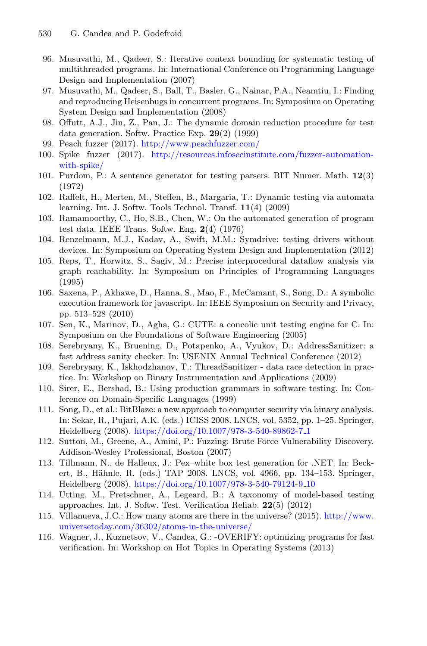- <span id="page-25-20"></span>96. Musuvathi, M., Qadeer, S.: Iterative context bounding for systematic testing of multithreaded programs. In: International Conference on Programming Language Design and Implementation (2007)
- <span id="page-25-11"></span>97. Musuvathi, M., Qadeer, S., Ball, T., Basler, G., Nainar, P.A., Neamtiu, I.: Finding and reproducing Heisenbugs in concurrent programs. In: Symposium on Operating System Design and Implementation (2008)
- <span id="page-25-4"></span>98. Offutt, A.J., Jin, Z., Pan, J.: The dynamic domain reduction procedure for test data generation. Softw. Practice Exp. **29**(2) (1999)
- <span id="page-25-15"></span>99. Peach fuzzer (2017). <http://www.peachfuzzer.com/>
- <span id="page-25-16"></span>100. Spike fuzzer (2017). [http://resources.infosecinstitute.com/fuzzer-automation](http://resources.infosecinstitute.com/fuzzer-automation-with-spike/)[with-spike/](http://resources.infosecinstitute.com/fuzzer-automation-with-spike/)
- <span id="page-25-18"></span>101. Purdom, P.: A sentence generator for testing parsers. BIT Numer. Math. **12**(3) (1972)
- <span id="page-25-14"></span>102. Raffelt, H., Merten, M., Steffen, B., Margaria, T.: Dynamic testing via automata learning. Int. J. Softw. Tools Technol. Transf. **11**(4) (2009)
- <span id="page-25-3"></span>103. Ramamoorthy, C., Ho, S.B., Chen, W.: On the automated generation of program test data. IEEE Trans. Softw. Eng. **2**(4) (1976)
- <span id="page-25-12"></span>104. Renzelmann, M.J., Kadav, A., Swift, M.M.: Symdrive: testing drivers without devices. In: Symposium on Operating System Design and Implementation (2012)
- <span id="page-25-6"></span>105. Reps, T., Horwitz, S., Sagiv, M.: Precise interprocedural dataflow analysis via graph reachability. In: Symposium on Principles of Programming Languages (1995)
- <span id="page-25-10"></span>106. Saxena, P., Akhawe, D., Hanna, S., Mao, F., McCamant, S., Song, D.: A symbolic execution framework for javascript. In: IEEE Symposium on Security and Privacy, pp. 513–528 (2010)
- <span id="page-25-5"></span>107. Sen, K., Marinov, D., Agha, G.: CUTE: a concolic unit testing engine for C. In: Symposium on the Foundations of Software Engineering (2005)
- <span id="page-25-1"></span>108. Serebryany, K., Bruening, D., Potapenko, A., Vyukov, D.: AddressSanitizer: a fast address sanity checker. In: USENIX Annual Technical Conference (2012)
- <span id="page-25-2"></span>109. Serebryany, K., Iskhodzhanov, T.: ThreadSanitizer - data race detection in practice. In: Workshop on Binary Instrumentation and Applications (2009)
- <span id="page-25-19"></span>110. Sirer, E., Bershad, B.: Using production grammars in software testing. In: Conference on Domain-Specific Languages (1999)
- <span id="page-25-9"></span>111. Song, D., et al.: BitBlaze: a new approach to computer security via binary analysis. In: Sekar, R., Pujari, A.K. (eds.) ICISS 2008. LNCS, vol. 5352, pp. 1–25. Springer, Heidelberg (2008). [https://doi.org/10.1007/978-3-540-89862-7](https://doi.org/10.1007/978-3-540-89862-7_1) 1
- <span id="page-25-17"></span>112. Sutton, M., Greene, A., Amini, P.: Fuzzing: Brute Force Vulnerability Discovery. Addison-Wesley Professional, Boston (2007)
- <span id="page-25-8"></span>113. Tillmann, N., de Halleux, J.: Pex–white box test generation for .NET. In: Beckert, B., Hähnle, R. (eds.) TAP 2008. LNCS, vol. 4966, pp. 134–153. Springer, Heidelberg (2008). [https://doi.org/10.1007/978-3-540-79124-9](https://doi.org/10.1007/978-3-540-79124-9_10) 10
- <span id="page-25-13"></span>114. Utting, M., Pretschner, A., Legeard, B.: A taxonomy of model-based testing approaches. Int. J. Softw. Test. Verification Reliab. **22**(5) (2012)
- <span id="page-25-0"></span>115. Villanueva, J.C.: How many atoms are there in the universe? (2015). [http://www.](http://www.universetoday.com/36302/atoms-in-the-universe/) [universetoday.com/36302/atoms-in-the-universe/](http://www.universetoday.com/36302/atoms-in-the-universe/)
- <span id="page-25-7"></span>116. Wagner, J., Kuznetsov, V., Candea, G.: -OVERIFY: optimizing programs for fast verification. In: Workshop on Hot Topics in Operating Systems (2013)